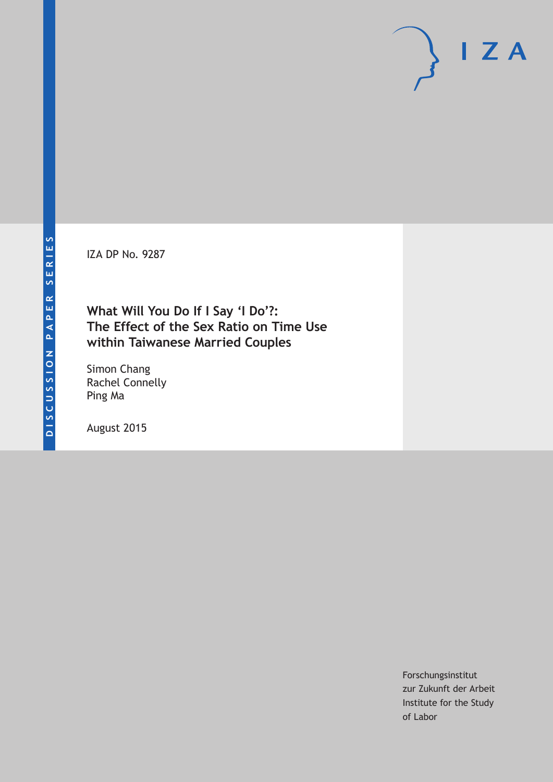IZA DP No. 9287

# **What Will You Do If I Say 'I Do'?: The Effect of the Sex Ratio on Time Use within Taiwanese Married Couples**

Simon Chang Rachel Connelly Ping Ma

August 2015

Forschungsinstitut zur Zukunft der Arbeit Institute for the Study of Labor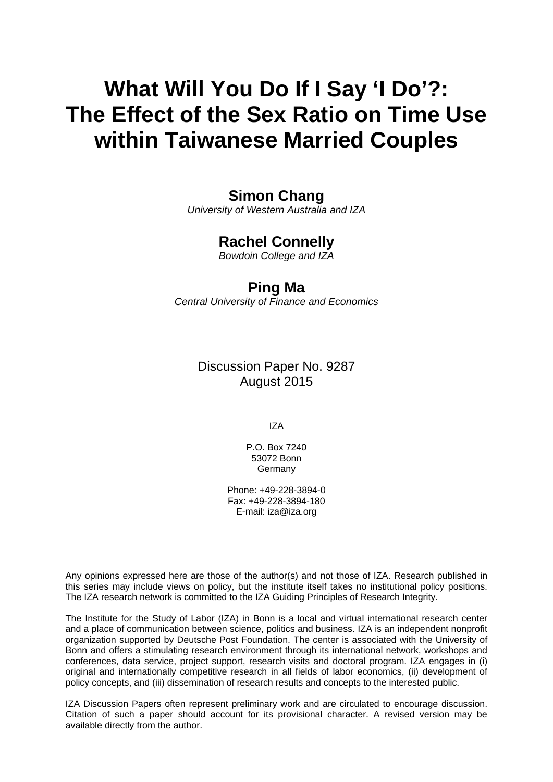# **What Will You Do If I Say 'I Do'?: The Effect of the Sex Ratio on Time Use within Taiwanese Married Couples**

# **Simon Chang**

*University of Western Australia and IZA* 

# **Rachel Connelly**

*Bowdoin College and IZA* 

# **Ping Ma**

*Central University of Finance and Economics*

Discussion Paper No. 9287 August 2015

IZA

P.O. Box 7240 53072 Bonn Germany

Phone: +49-228-3894-0 Fax: +49-228-3894-180 E-mail: iza@iza.org

Any opinions expressed here are those of the author(s) and not those of IZA. Research published in this series may include views on policy, but the institute itself takes no institutional policy positions. The IZA research network is committed to the IZA Guiding Principles of Research Integrity.

The Institute for the Study of Labor (IZA) in Bonn is a local and virtual international research center and a place of communication between science, politics and business. IZA is an independent nonprofit organization supported by Deutsche Post Foundation. The center is associated with the University of Bonn and offers a stimulating research environment through its international network, workshops and conferences, data service, project support, research visits and doctoral program. IZA engages in (i) original and internationally competitive research in all fields of labor economics, (ii) development of policy concepts, and (iii) dissemination of research results and concepts to the interested public.

IZA Discussion Papers often represent preliminary work and are circulated to encourage discussion. Citation of such a paper should account for its provisional character. A revised version may be available directly from the author.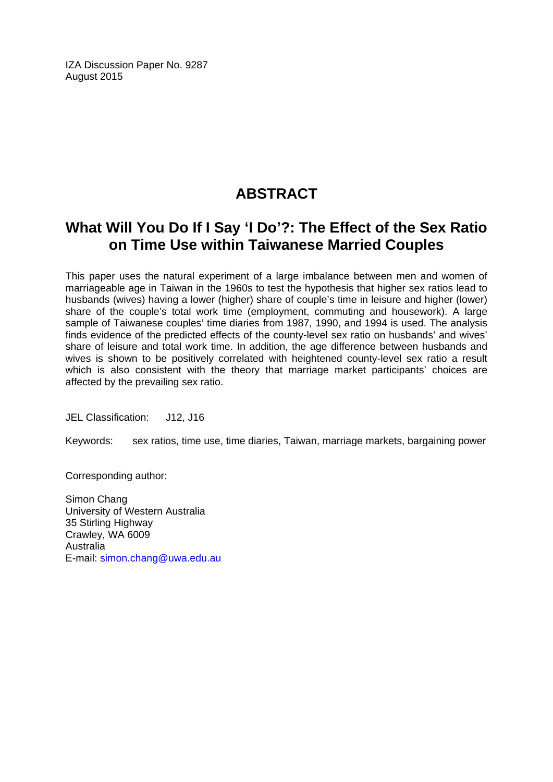IZA Discussion Paper No. 9287 August 2015

# **ABSTRACT**

# **What Will You Do If I Say 'I Do'?: The Effect of the Sex Ratio on Time Use within Taiwanese Married Couples**

This paper uses the natural experiment of a large imbalance between men and women of marriageable age in Taiwan in the 1960s to test the hypothesis that higher sex ratios lead to husbands (wives) having a lower (higher) share of couple's time in leisure and higher (lower) share of the couple's total work time (employment, commuting and housework). A large sample of Taiwanese couples' time diaries from 1987, 1990, and 1994 is used. The analysis finds evidence of the predicted effects of the county-level sex ratio on husbands' and wives' share of leisure and total work time. In addition, the age difference between husbands and wives is shown to be positively correlated with heightened county-level sex ratio a result which is also consistent with the theory that marriage market participants' choices are affected by the prevailing sex ratio.

JEL Classification: J12, J16

Keywords: sex ratios, time use, time diaries, Taiwan, marriage markets, bargaining power

Corresponding author:

Simon Chang University of Western Australia 35 Stirling Highway Crawley, WA 6009 Australia E-mail: simon.chang@uwa.edu.au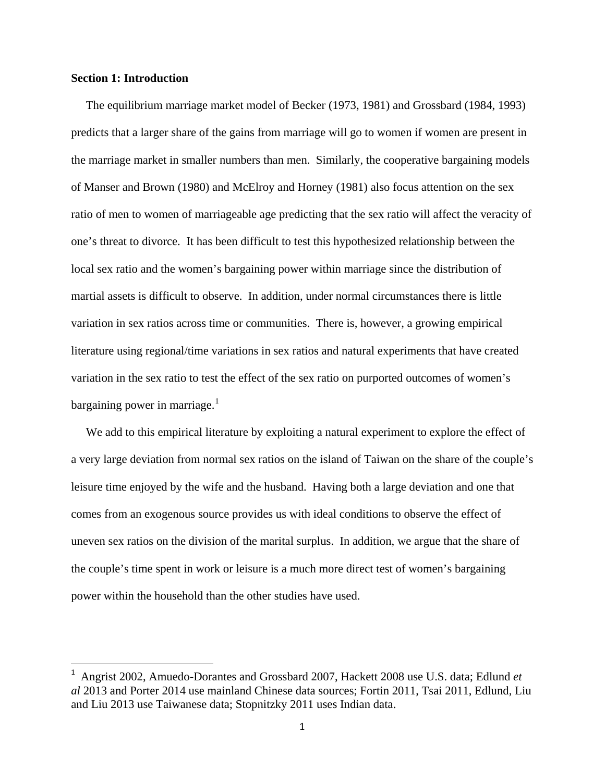# **Section 1: Introduction**

 The equilibrium marriage market model of Becker (1973, 1981) and Grossbard (1984, 1993) predicts that a larger share of the gains from marriage will go to women if women are present in the marriage market in smaller numbers than men. Similarly, the cooperative bargaining models of Manser and Brown (1980) and McElroy and Horney (1981) also focus attention on the sex ratio of men to women of marriageable age predicting that the sex ratio will affect the veracity of one's threat to divorce. It has been difficult to test this hypothesized relationship between the local sex ratio and the women's bargaining power within marriage since the distribution of martial assets is difficult to observe. In addition, under normal circumstances there is little variation in sex ratios across time or communities. There is, however, a growing empirical literature using regional/time variations in sex ratios and natural experiments that have created variation in the sex ratio to test the effect of the sex ratio on purported outcomes of women's bargaining power in marriage. $<sup>1</sup>$  $<sup>1</sup>$  $<sup>1</sup>$ </sup>

 We add to this empirical literature by exploiting a natural experiment to explore the effect of a very large deviation from normal sex ratios on the island of Taiwan on the share of the couple's leisure time enjoyed by the wife and the husband. Having both a large deviation and one that comes from an exogenous source provides us with ideal conditions to observe the effect of uneven sex ratios on the division of the marital surplus. In addition, we argue that the share of the couple's time spent in work or leisure is a much more direct test of women's bargaining power within the household than the other studies have used.

<span id="page-3-0"></span> <sup>1</sup> Angrist 2002, Amuedo-Dorantes and Grossbard 2007, Hackett 2008 use U.S. data; Edlund *et al* 2013 and Porter 2014 use mainland Chinese data sources; Fortin 2011, Tsai 2011, Edlund, Liu and Liu 2013 use Taiwanese data; Stopnitzky 2011 uses Indian data.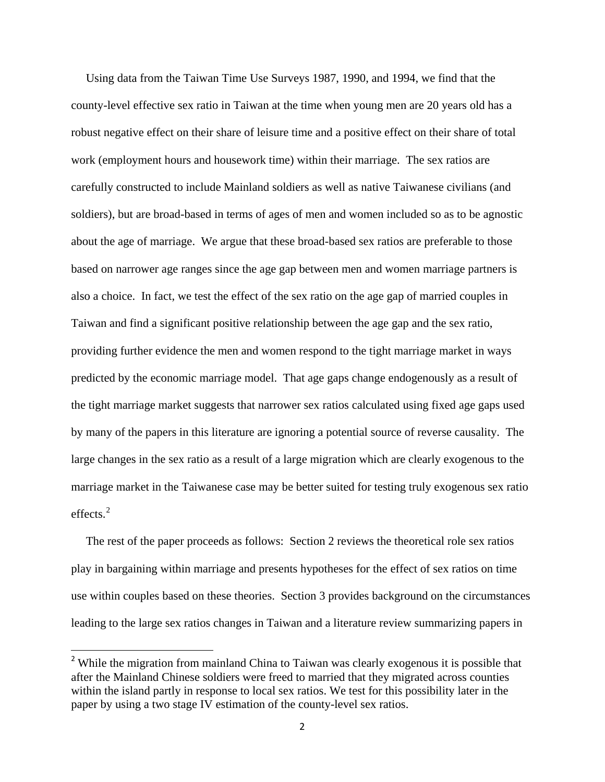Using data from the Taiwan Time Use Surveys 1987, 1990, and 1994, we find that the county-level effective sex ratio in Taiwan at the time when young men are 20 years old has a robust negative effect on their share of leisure time and a positive effect on their share of total work (employment hours and housework time) within their marriage. The sex ratios are carefully constructed to include Mainland soldiers as well as native Taiwanese civilians (and soldiers), but are broad-based in terms of ages of men and women included so as to be agnostic about the age of marriage. We argue that these broad-based sex ratios are preferable to those based on narrower age ranges since the age gap between men and women marriage partners is also a choice. In fact, we test the effect of the sex ratio on the age gap of married couples in Taiwan and find a significant positive relationship between the age gap and the sex ratio, providing further evidence the men and women respond to the tight marriage market in ways predicted by the economic marriage model. That age gaps change endogenously as a result of the tight marriage market suggests that narrower sex ratios calculated using fixed age gaps used by many of the papers in this literature are ignoring a potential source of reverse causality. The large changes in the sex ratio as a result of a large migration which are clearly exogenous to the marriage market in the Taiwanese case may be better suited for testing truly exogenous sex ratio effects<sup>[2](#page-4-0)</sup>

 The rest of the paper proceeds as follows: Section 2 reviews the theoretical role sex ratios play in bargaining within marriage and presents hypotheses for the effect of sex ratios on time use within couples based on these theories. Section 3 provides background on the circumstances leading to the large sex ratios changes in Taiwan and a literature review summarizing papers in

<span id="page-4-0"></span><sup>&</sup>lt;sup>2</sup> While the migration from mainland China to Taiwan was clearly exogenous it is possible that after the Mainland Chinese soldiers were freed to married that they migrated across counties within the island partly in response to local sex ratios. We test for this possibility later in the paper by using a two stage IV estimation of the county-level sex ratios.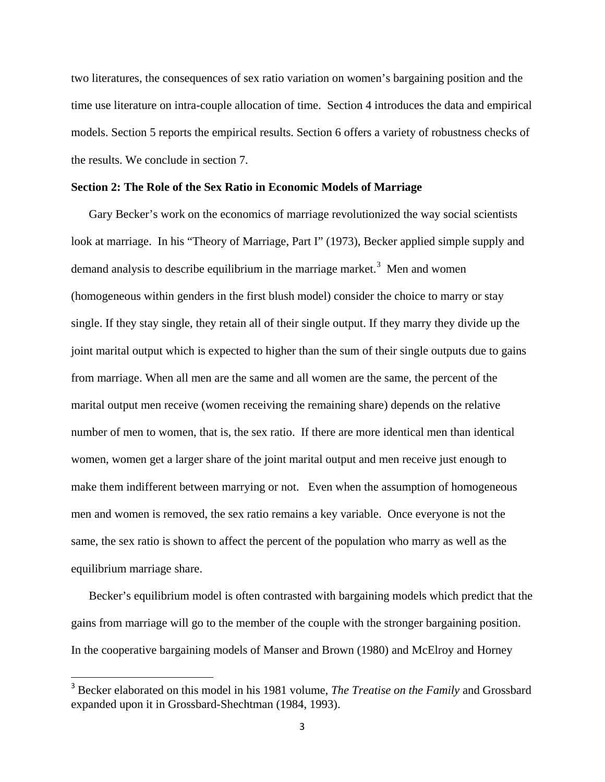two literatures, the consequences of sex ratio variation on women's bargaining position and the time use literature on intra-couple allocation of time. Section 4 introduces the data and empirical models. Section 5 reports the empirical results. Section 6 offers a variety of robustness checks of the results. We conclude in section 7.

# **Section 2: The Role of the Sex Ratio in Economic Models of Marriage**

 Gary Becker's work on the economics of marriage revolutionized the way social scientists look at marriage. In his "Theory of Marriage, Part I" (1973), Becker applied simple supply and demand analysis to describe equilibrium in the marriage market.<sup>[3](#page-5-0)</sup> Men and women (homogeneous within genders in the first blush model) consider the choice to marry or stay single. If they stay single, they retain all of their single output. If they marry they divide up the joint marital output which is expected to higher than the sum of their single outputs due to gains from marriage. When all men are the same and all women are the same, the percent of the marital output men receive (women receiving the remaining share) depends on the relative number of men to women, that is, the sex ratio. If there are more identical men than identical women, women get a larger share of the joint marital output and men receive just enough to make them indifferent between marrying or not. Even when the assumption of homogeneous men and women is removed, the sex ratio remains a key variable. Once everyone is not the same, the sex ratio is shown to affect the percent of the population who marry as well as the equilibrium marriage share.

 Becker's equilibrium model is often contrasted with bargaining models which predict that the gains from marriage will go to the member of the couple with the stronger bargaining position. In the cooperative bargaining models of Manser and Brown (1980) and McElroy and Horney

<span id="page-5-0"></span> <sup>3</sup> Becker elaborated on this model in his 1981 volume, *The Treatise on the Family* and Grossbard expanded upon it in Grossbard-Shechtman (1984, 1993).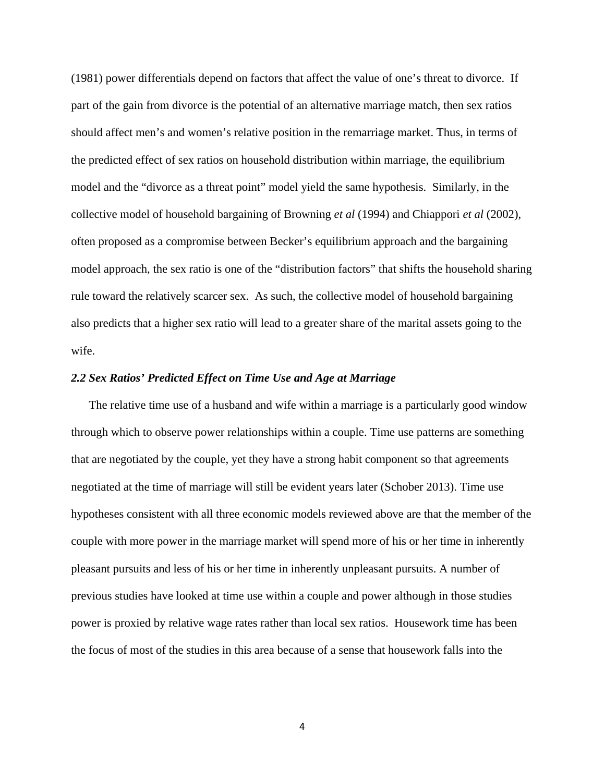(1981) power differentials depend on factors that affect the value of one's threat to divorce. If part of the gain from divorce is the potential of an alternative marriage match, then sex ratios should affect men's and women's relative position in the remarriage market. Thus, in terms of the predicted effect of sex ratios on household distribution within marriage, the equilibrium model and the "divorce as a threat point" model yield the same hypothesis. Similarly, in the collective model of household bargaining of Browning *et al* (1994) and Chiappori *et al* (2002), often proposed as a compromise between Becker's equilibrium approach and the bargaining model approach, the sex ratio is one of the "distribution factors" that shifts the household sharing rule toward the relatively scarcer sex. As such, the collective model of household bargaining also predicts that a higher sex ratio will lead to a greater share of the marital assets going to the wife.

# *2.2 Sex Ratios' Predicted Effect on Time Use and Age at Marriage*

 The relative time use of a husband and wife within a marriage is a particularly good window through which to observe power relationships within a couple. Time use patterns are something that are negotiated by the couple, yet they have a strong habit component so that agreements negotiated at the time of marriage will still be evident years later (Schober 2013). Time use hypotheses consistent with all three economic models reviewed above are that the member of the couple with more power in the marriage market will spend more of his or her time in inherently pleasant pursuits and less of his or her time in inherently unpleasant pursuits. A number of previous studies have looked at time use within a couple and power although in those studies power is proxied by relative wage rates rather than local sex ratios. Housework time has been the focus of most of the studies in this area because of a sense that housework falls into the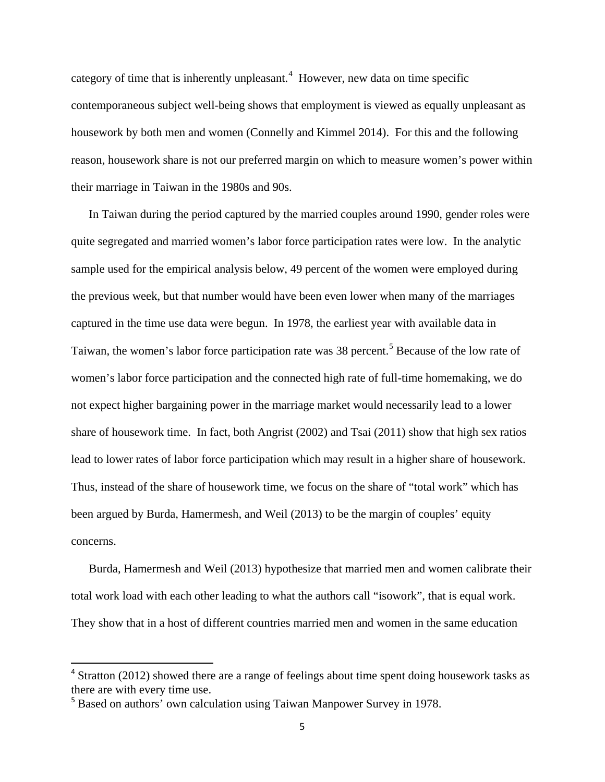category of time that is inherently unpleasant.<sup>[4](#page-7-0)</sup> However, new data on time specific contemporaneous subject well-being shows that employment is viewed as equally unpleasant as housework by both men and women (Connelly and Kimmel 2014). For this and the following reason, housework share is not our preferred margin on which to measure women's power within their marriage in Taiwan in the 1980s and 90s.

 In Taiwan during the period captured by the married couples around 1990, gender roles were quite segregated and married women's labor force participation rates were low. In the analytic sample used for the empirical analysis below, 49 percent of the women were employed during the previous week, but that number would have been even lower when many of the marriages captured in the time use data were begun. In 1978, the earliest year with available data in Taiwan, the women's labor force participation rate was 38 percent.<sup>[5](#page-7-1)</sup> Because of the low rate of women's labor force participation and the connected high rate of full-time homemaking, we do not expect higher bargaining power in the marriage market would necessarily lead to a lower share of housework time. In fact, both Angrist (2002) and Tsai (2011) show that high sex ratios lead to lower rates of labor force participation which may result in a higher share of housework. Thus, instead of the share of housework time, we focus on the share of "total work" which has been argued by Burda, Hamermesh, and Weil (2013) to be the margin of couples' equity concerns.

 Burda, Hamermesh and Weil (2013) hypothesize that married men and women calibrate their total work load with each other leading to what the authors call "isowork", that is equal work. They show that in a host of different countries married men and women in the same education

<span id="page-7-0"></span><sup>&</sup>lt;sup>4</sup> Stratton (2012) showed there are a range of feelings about time spent doing housework tasks as there are with every time use.

<span id="page-7-1"></span><sup>5</sup> Based on authors' own calculation using Taiwan Manpower Survey in 1978.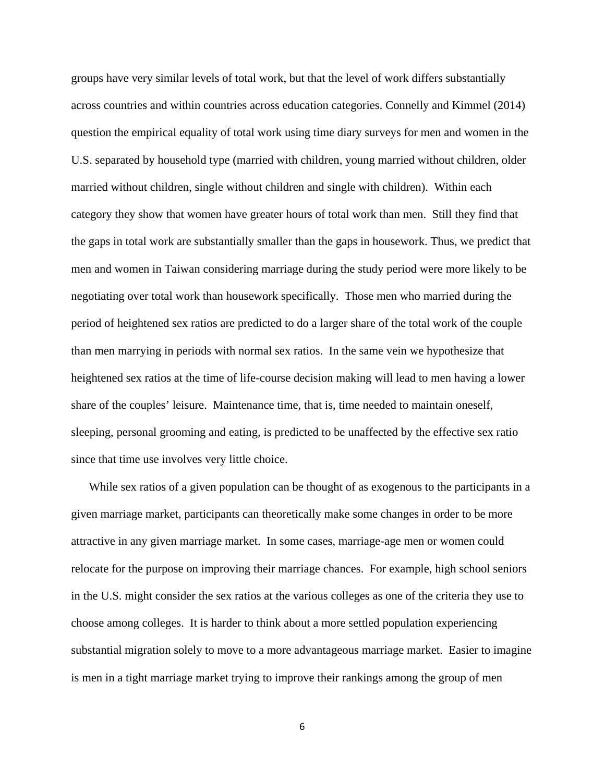groups have very similar levels of total work, but that the level of work differs substantially across countries and within countries across education categories. Connelly and Kimmel (2014) question the empirical equality of total work using time diary surveys for men and women in the U.S. separated by household type (married with children, young married without children, older married without children, single without children and single with children). Within each category they show that women have greater hours of total work than men. Still they find that the gaps in total work are substantially smaller than the gaps in housework. Thus, we predict that men and women in Taiwan considering marriage during the study period were more likely to be negotiating over total work than housework specifically. Those men who married during the period of heightened sex ratios are predicted to do a larger share of the total work of the couple than men marrying in periods with normal sex ratios. In the same vein we hypothesize that heightened sex ratios at the time of life-course decision making will lead to men having a lower share of the couples' leisure. Maintenance time, that is, time needed to maintain oneself, sleeping, personal grooming and eating, is predicted to be unaffected by the effective sex ratio since that time use involves very little choice.

 While sex ratios of a given population can be thought of as exogenous to the participants in a given marriage market, participants can theoretically make some changes in order to be more attractive in any given marriage market. In some cases, marriage-age men or women could relocate for the purpose on improving their marriage chances. For example, high school seniors in the U.S. might consider the sex ratios at the various colleges as one of the criteria they use to choose among colleges. It is harder to think about a more settled population experiencing substantial migration solely to move to a more advantageous marriage market. Easier to imagine is men in a tight marriage market trying to improve their rankings among the group of men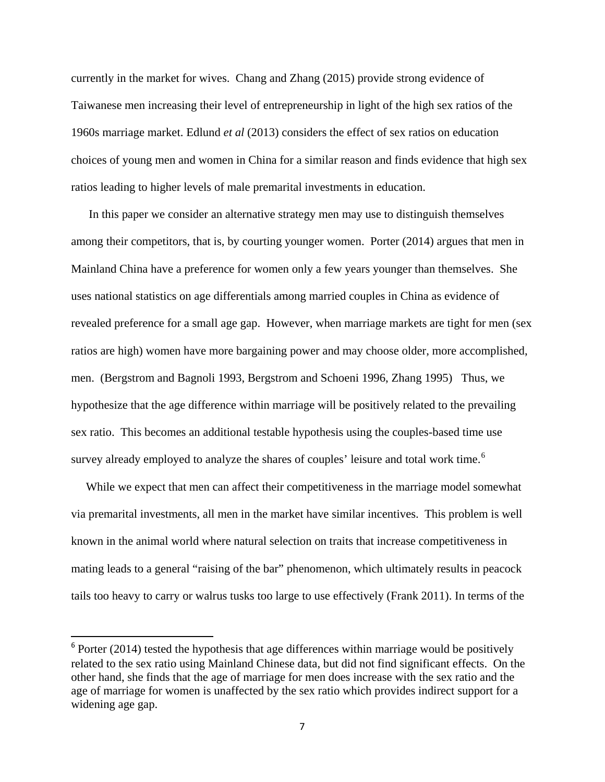currently in the market for wives. Chang and Zhang (2015) provide strong evidence of Taiwanese men increasing their level of entrepreneurship in light of the high sex ratios of the 1960s marriage market. Edlund *et al* (2013) considers the effect of sex ratios on education choices of young men and women in China for a similar reason and finds evidence that high sex ratios leading to higher levels of male premarital investments in education.

 In this paper we consider an alternative strategy men may use to distinguish themselves among their competitors, that is, by courting younger women. Porter (2014) argues that men in Mainland China have a preference for women only a few years younger than themselves. She uses national statistics on age differentials among married couples in China as evidence of revealed preference for a small age gap. However, when marriage markets are tight for men (sex ratios are high) women have more bargaining power and may choose older, more accomplished, men. (Bergstrom and Bagnoli 1993, Bergstrom and Schoeni 1996, Zhang 1995) Thus, we hypothesize that the age difference within marriage will be positively related to the prevailing sex ratio. This becomes an additional testable hypothesis using the couples-based time use survey already employed to analyze the shares of couples' leisure and total work time.<sup>[6](#page-9-0)</sup>

 While we expect that men can affect their competitiveness in the marriage model somewhat via premarital investments, all men in the market have similar incentives. This problem is well known in the animal world where natural selection on traits that increase competitiveness in mating leads to a general "raising of the bar" phenomenon, which ultimately results in peacock tails too heavy to carry or walrus tusks too large to use effectively (Frank 2011). In terms of the

<span id="page-9-0"></span> $6$  Porter (2014) tested the hypothesis that age differences within marriage would be positively related to the sex ratio using Mainland Chinese data, but did not find significant effects. On the other hand, she finds that the age of marriage for men does increase with the sex ratio and the age of marriage for women is unaffected by the sex ratio which provides indirect support for a widening age gap.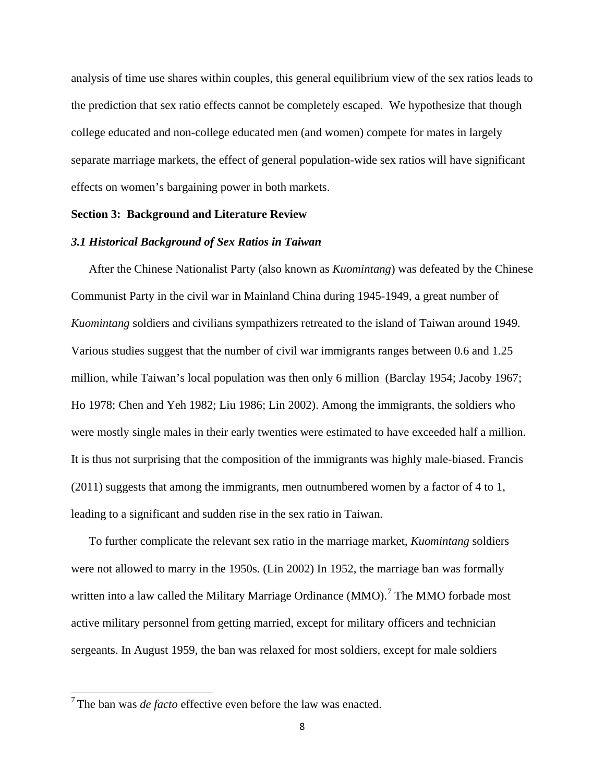analysis of time use shares within couples, this general equilibrium view of the sex ratios leads to the prediction that sex ratio effects cannot be completely escaped. We hypothesize that though college educated and non-college educated men (and women) compete for mates in largely separate marriage markets, the effect of general population-wide sex ratios will have significant effects on women's bargaining power in both markets.

# **Section 3: Background and Literature Review**

# *3.1 Historical Background of Sex Ratios in Taiwan*

 After the Chinese Nationalist Party (also known as *Kuomintang*) was defeated by the Chinese Communist Party in the civil war in Mainland China during 1945-1949, a great number of *Kuomintang* soldiers and civilians sympathizers retreated to the island of Taiwan around 1949. Various studies suggest that the number of civil war immigrants ranges between 0.6 and 1.25 million, while Taiwan's local population was then only 6 million (Barclay 1954; Jacoby 1967; Ho 1978; Chen and Yeh 1982; Liu 1986; Lin 2002). Among the immigrants, the soldiers who were mostly single males in their early twenties were estimated to have exceeded half a million. It is thus not surprising that the composition of the immigrants was highly male-biased. Francis (2011) suggests that among the immigrants, men outnumbered women by a factor of 4 to 1, leading to a significant and sudden rise in the sex ratio in Taiwan.

 To further complicate the relevant sex ratio in the marriage market, *Kuomintang* soldiers were not allowed to marry in the 1950s. (Lin 2002) In 1952, the marriage ban was formally written into a law called the Military Marriage Ordinance (MMO).<sup>[7](#page-10-0)</sup> The MMO forbade most active military personnel from getting married, except for military officers and technician sergeants. In August 1959, the ban was relaxed for most soldiers, except for male soldiers

<span id="page-10-0"></span><sup>7</sup> The ban was *de facto* effective even before the law was enacted.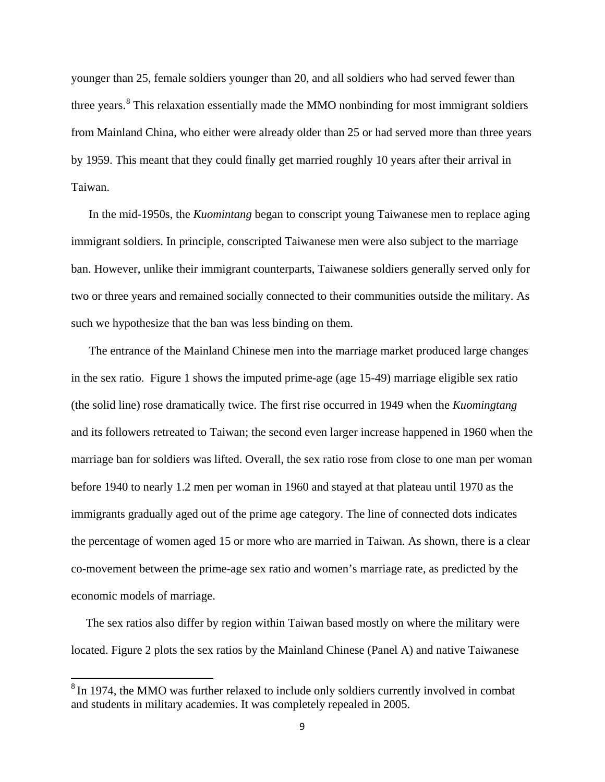younger than 25, female soldiers younger than 20, and all soldiers who had served fewer than three years. $8$  This relaxation essentially made the MMO nonbinding for most immigrant soldiers from Mainland China, who either were already older than 25 or had served more than three years by 1959. This meant that they could finally get married roughly 10 years after their arrival in Taiwan.

 In the mid-1950s, the *Kuomintang* began to conscript young Taiwanese men to replace aging immigrant soldiers. In principle, conscripted Taiwanese men were also subject to the marriage ban. However, unlike their immigrant counterparts, Taiwanese soldiers generally served only for two or three years and remained socially connected to their communities outside the military. As such we hypothesize that the ban was less binding on them.

 The entrance of the Mainland Chinese men into the marriage market produced large changes in the sex ratio. Figure 1 shows the imputed prime-age (age 15-49) marriage eligible sex ratio (the solid line) rose dramatically twice. The first rise occurred in 1949 when the *Kuomingtang* and its followers retreated to Taiwan; the second even larger increase happened in 1960 when the marriage ban for soldiers was lifted. Overall, the sex ratio rose from close to one man per woman before 1940 to nearly 1.2 men per woman in 1960 and stayed at that plateau until 1970 as the immigrants gradually aged out of the prime age category. The line of connected dots indicates the percentage of women aged 15 or more who are married in Taiwan. As shown, there is a clear co-movement between the prime-age sex ratio and women's marriage rate, as predicted by the economic models of marriage.

 The sex ratios also differ by region within Taiwan based mostly on where the military were located. Figure 2 plots the sex ratios by the Mainland Chinese (Panel A) and native Taiwanese

<span id="page-11-0"></span> $8$  In 1974, the MMO was further relaxed to include only soldiers currently involved in combat and students in military academies. It was completely repealed in 2005.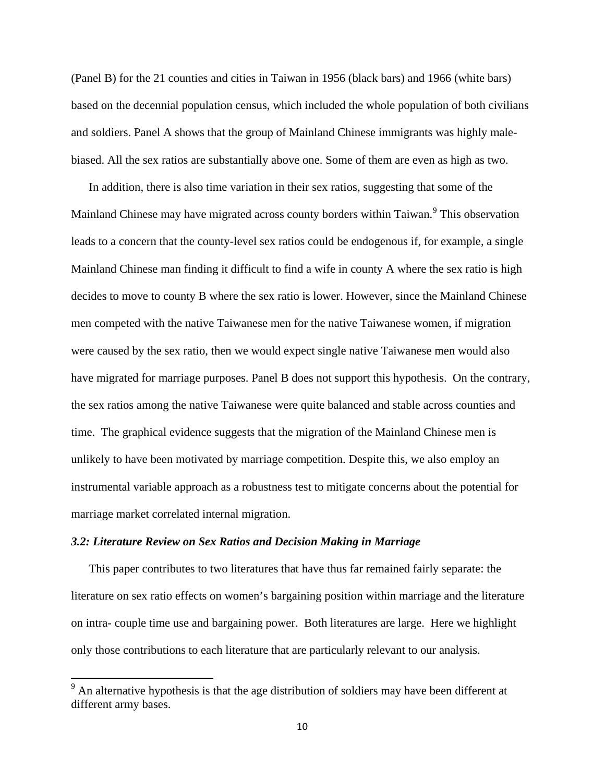(Panel B) for the 21 counties and cities in Taiwan in 1956 (black bars) and 1966 (white bars) based on the decennial population census, which included the whole population of both civilians and soldiers. Panel A shows that the group of Mainland Chinese immigrants was highly malebiased. All the sex ratios are substantially above one. Some of them are even as high as two.

 In addition, there is also time variation in their sex ratios, suggesting that some of the Mainland Chinese may have migrated across county borders within Taiwan.<sup>[9](#page-12-0)</sup> This observation leads to a concern that the county-level sex ratios could be endogenous if, for example, a single Mainland Chinese man finding it difficult to find a wife in county A where the sex ratio is high decides to move to county B where the sex ratio is lower. However, since the Mainland Chinese men competed with the native Taiwanese men for the native Taiwanese women, if migration were caused by the sex ratio, then we would expect single native Taiwanese men would also have migrated for marriage purposes. Panel B does not support this hypothesis. On the contrary, the sex ratios among the native Taiwanese were quite balanced and stable across counties and time. The graphical evidence suggests that the migration of the Mainland Chinese men is unlikely to have been motivated by marriage competition. Despite this, we also employ an instrumental variable approach as a robustness test to mitigate concerns about the potential for marriage market correlated internal migration.

## *3.2: Literature Review on Sex Ratios and Decision Making in Marriage*

 This paper contributes to two literatures that have thus far remained fairly separate: the literature on sex ratio effects on women's bargaining position within marriage and the literature on intra- couple time use and bargaining power. Both literatures are large. Here we highlight only those contributions to each literature that are particularly relevant to our analysis.

<span id="page-12-0"></span> $9<sup>9</sup>$  An alternative hypothesis is that the age distribution of soldiers may have been different at different army bases.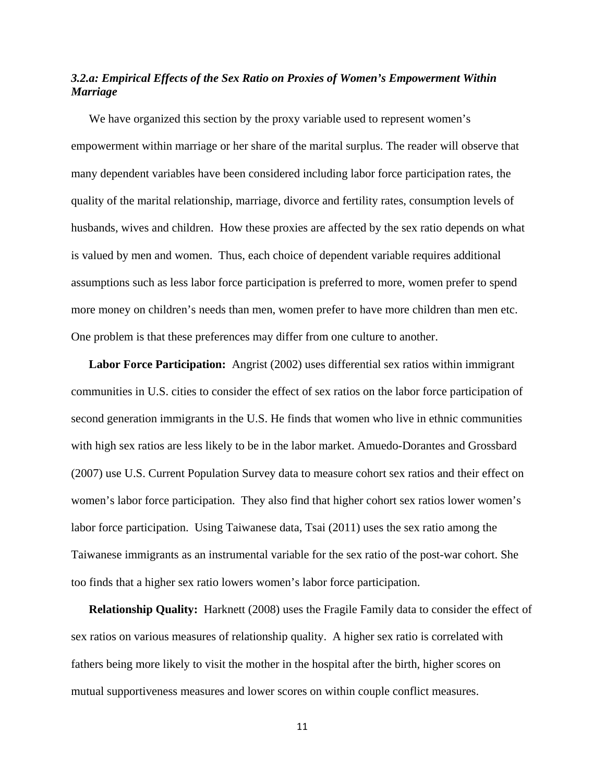# *3.2.a: Empirical Effects of the Sex Ratio on Proxies of Women's Empowerment Within Marriage*

 We have organized this section by the proxy variable used to represent women's empowerment within marriage or her share of the marital surplus. The reader will observe that many dependent variables have been considered including labor force participation rates, the quality of the marital relationship, marriage, divorce and fertility rates, consumption levels of husbands, wives and children. How these proxies are affected by the sex ratio depends on what is valued by men and women. Thus, each choice of dependent variable requires additional assumptions such as less labor force participation is preferred to more, women prefer to spend more money on children's needs than men, women prefer to have more children than men etc. One problem is that these preferences may differ from one culture to another.

 **Labor Force Participation:** Angrist (2002) uses differential sex ratios within immigrant communities in U.S. cities to consider the effect of sex ratios on the labor force participation of second generation immigrants in the U.S. He finds that women who live in ethnic communities with high sex ratios are less likely to be in the labor market. Amuedo-Dorantes and Grossbard (2007) use U.S. Current Population Survey data to measure cohort sex ratios and their effect on women's labor force participation. They also find that higher cohort sex ratios lower women's labor force participation. Using Taiwanese data, Tsai (2011) uses the sex ratio among the Taiwanese immigrants as an instrumental variable for the sex ratio of the post-war cohort. She too finds that a higher sex ratio lowers women's labor force participation.

 **Relationship Quality:** Harknett (2008) uses the Fragile Family data to consider the effect of sex ratios on various measures of relationship quality. A higher sex ratio is correlated with fathers being more likely to visit the mother in the hospital after the birth, higher scores on mutual supportiveness measures and lower scores on within couple conflict measures.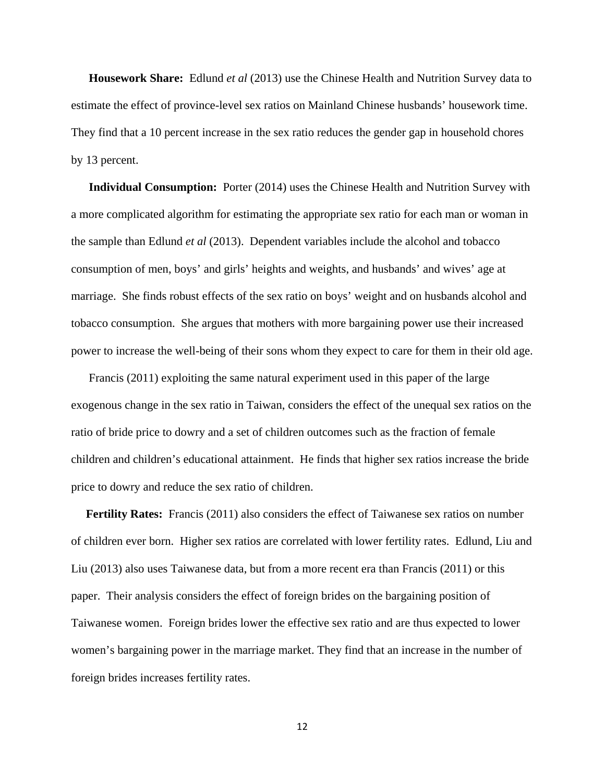**Housework Share:** Edlund *et al* (2013) use the Chinese Health and Nutrition Survey data to estimate the effect of province-level sex ratios on Mainland Chinese husbands' housework time. They find that a 10 percent increase in the sex ratio reduces the gender gap in household chores by 13 percent.

 **Individual Consumption:** Porter (2014) uses the Chinese Health and Nutrition Survey with a more complicated algorithm for estimating the appropriate sex ratio for each man or woman in the sample than Edlund *et al* (2013). Dependent variables include the alcohol and tobacco consumption of men, boys' and girls' heights and weights, and husbands' and wives' age at marriage. She finds robust effects of the sex ratio on boys' weight and on husbands alcohol and tobacco consumption. She argues that mothers with more bargaining power use their increased power to increase the well-being of their sons whom they expect to care for them in their old age.

 Francis (2011) exploiting the same natural experiment used in this paper of the large exogenous change in the sex ratio in Taiwan, considers the effect of the unequal sex ratios on the ratio of bride price to dowry and a set of children outcomes such as the fraction of female children and children's educational attainment. He finds that higher sex ratios increase the bride price to dowry and reduce the sex ratio of children.

 **Fertility Rates:** Francis (2011) also considers the effect of Taiwanese sex ratios on number of children ever born. Higher sex ratios are correlated with lower fertility rates. Edlund, Liu and Liu (2013) also uses Taiwanese data, but from a more recent era than Francis (2011) or this paper. Their analysis considers the effect of foreign brides on the bargaining position of Taiwanese women. Foreign brides lower the effective sex ratio and are thus expected to lower women's bargaining power in the marriage market. They find that an increase in the number of foreign brides increases fertility rates.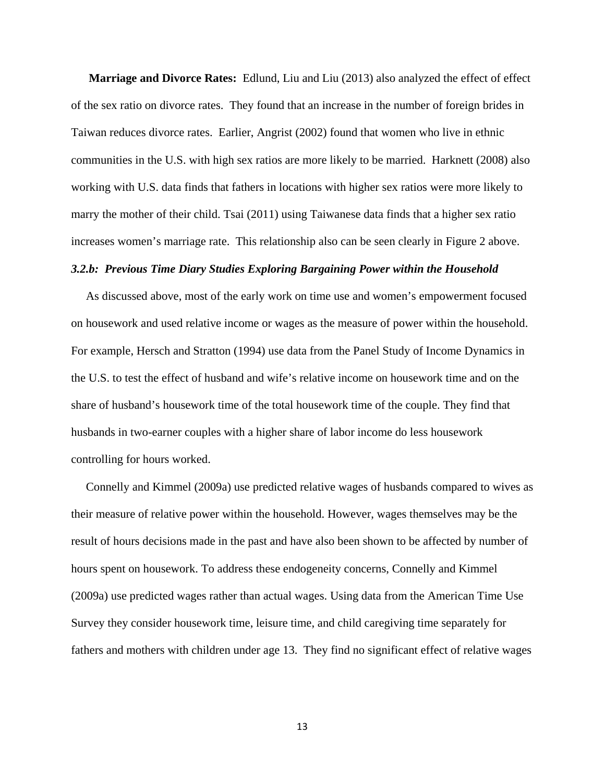**Marriage and Divorce Rates:** Edlund, Liu and Liu (2013) also analyzed the effect of effect of the sex ratio on divorce rates. They found that an increase in the number of foreign brides in Taiwan reduces divorce rates. Earlier, Angrist (2002) found that women who live in ethnic communities in the U.S. with high sex ratios are more likely to be married. Harknett (2008) also working with U.S. data finds that fathers in locations with higher sex ratios were more likely to marry the mother of their child. Tsai (2011) using Taiwanese data finds that a higher sex ratio increases women's marriage rate. This relationship also can be seen clearly in Figure 2 above.

## *3.2.b: Previous Time Diary Studies Exploring Bargaining Power within the Household*

 As discussed above, most of the early work on time use and women's empowerment focused on housework and used relative income or wages as the measure of power within the household. For example, Hersch and Stratton (1994) use data from the Panel Study of Income Dynamics in the U.S. to test the effect of husband and wife's relative income on housework time and on the share of husband's housework time of the total housework time of the couple. They find that husbands in two-earner couples with a higher share of labor income do less housework controlling for hours worked.

 Connelly and Kimmel (2009a) use predicted relative wages of husbands compared to wives as their measure of relative power within the household. However, wages themselves may be the result of hours decisions made in the past and have also been shown to be affected by number of hours spent on housework. To address these endogeneity concerns, Connelly and Kimmel (2009a) use predicted wages rather than actual wages. Using data from the American Time Use Survey they consider housework time, leisure time, and child caregiving time separately for fathers and mothers with children under age 13. They find no significant effect of relative wages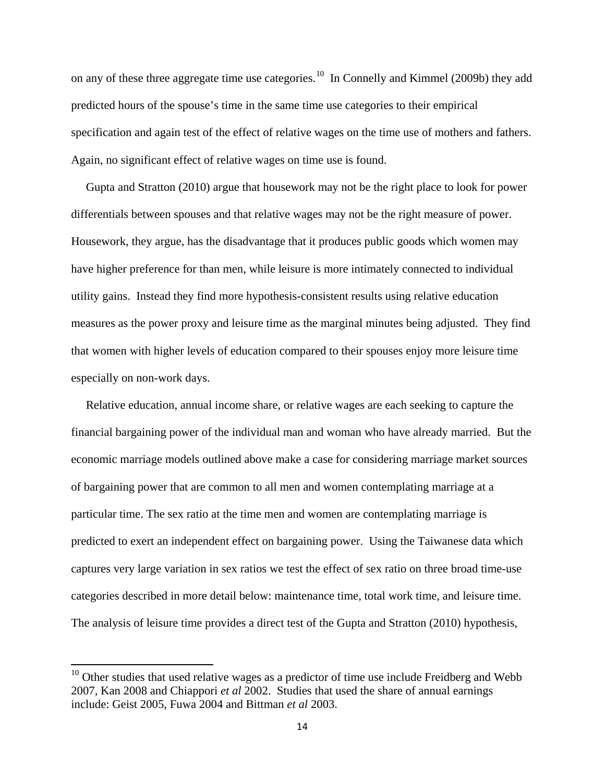on any of these three aggregate time use categories.<sup>[10](#page-16-0)</sup> In Connelly and Kimmel (2009b) they add predicted hours of the spouse's time in the same time use categories to their empirical specification and again test of the effect of relative wages on the time use of mothers and fathers. Again, no significant effect of relative wages on time use is found.

 Gupta and Stratton (2010) argue that housework may not be the right place to look for power differentials between spouses and that relative wages may not be the right measure of power. Housework, they argue, has the disadvantage that it produces public goods which women may have higher preference for than men, while leisure is more intimately connected to individual utility gains. Instead they find more hypothesis-consistent results using relative education measures as the power proxy and leisure time as the marginal minutes being adjusted. They find that women with higher levels of education compared to their spouses enjoy more leisure time especially on non-work days.

 Relative education, annual income share, or relative wages are each seeking to capture the financial bargaining power of the individual man and woman who have already married. But the economic marriage models outlined above make a case for considering marriage market sources of bargaining power that are common to all men and women contemplating marriage at a particular time. The sex ratio at the time men and women are contemplating marriage is predicted to exert an independent effect on bargaining power. Using the Taiwanese data which captures very large variation in sex ratios we test the effect of sex ratio on three broad time-use categories described in more detail below: maintenance time, total work time, and leisure time. The analysis of leisure time provides a direct test of the Gupta and Stratton (2010) hypothesis,

<span id="page-16-0"></span> $10$  Other studies that used relative wages as a predictor of time use include Freidberg and Webb 2007, Kan 2008 and Chiappori *et al* 2002. Studies that used the share of annual earnings include: Geist 2005, Fuwa 2004 and Bittman *et al* 2003.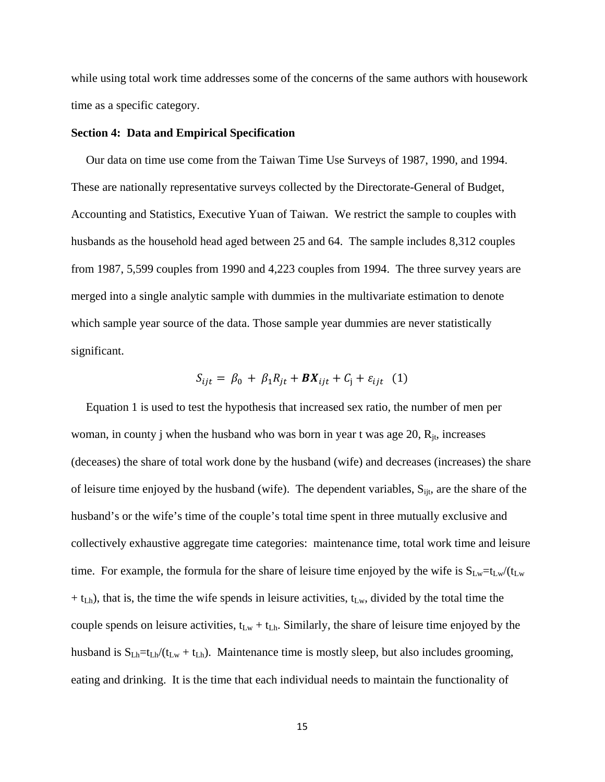while using total work time addresses some of the concerns of the same authors with housework time as a specific category.

## **Section 4: Data and Empirical Specification**

 Our data on time use come from the Taiwan Time Use Surveys of 1987, 1990, and 1994. These are nationally representative surveys collected by the Directorate-General of Budget, Accounting and Statistics, Executive Yuan of Taiwan. We restrict the sample to couples with husbands as the household head aged between 25 and 64. The sample includes 8,312 couples from 1987, 5,599 couples from 1990 and 4,223 couples from 1994. The three survey years are merged into a single analytic sample with dummies in the multivariate estimation to denote which sample year source of the data. Those sample year dummies are never statistically significant.

$$
S_{ijt} = \beta_0 + \beta_1 R_{jt} + \boldsymbol{B} X_{ijt} + C_j + \varepsilon_{ijt} \quad (1)
$$

 Equation 1 is used to test the hypothesis that increased sex ratio, the number of men per woman, in county j when the husband who was born in year t was age  $20$ ,  $R_{it}$ , increases (deceases) the share of total work done by the husband (wife) and decreases (increases) the share of leisure time enjoyed by the husband (wife). The dependent variables,  $S_{ijt}$ , are the share of the husband's or the wife's time of the couple's total time spent in three mutually exclusive and collectively exhaustive aggregate time categories: maintenance time, total work time and leisure time. For example, the formula for the share of leisure time enjoyed by the wife is  $S_{Lw}=t_{Lw}/(t_{Lw}$  $+$  t<sub>Lh</sub>), that is, the time the wife spends in leisure activities, t<sub>Lw</sub>, divided by the total time the couple spends on leisure activities,  $t_{Lw} + t_{Lh}$ . Similarly, the share of leisure time enjoyed by the husband is  $S_{Lh} = t_{Lh}/(t_{Lw} + t_{Lh})$ . Maintenance time is mostly sleep, but also includes grooming, eating and drinking. It is the time that each individual needs to maintain the functionality of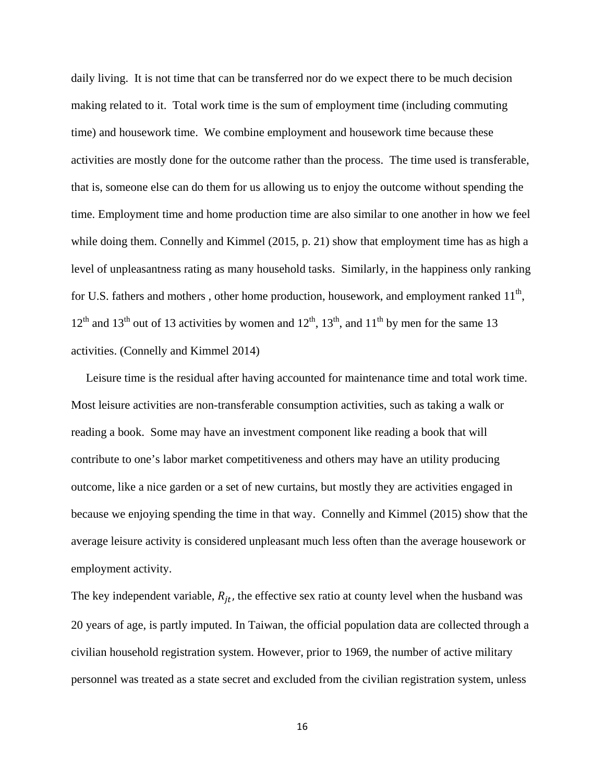daily living. It is not time that can be transferred nor do we expect there to be much decision making related to it. Total work time is the sum of employment time (including commuting time) and housework time. We combine employment and housework time because these activities are mostly done for the outcome rather than the process. The time used is transferable, that is, someone else can do them for us allowing us to enjoy the outcome without spending the time. Employment time and home production time are also similar to one another in how we feel while doing them. Connelly and Kimmel (2015, p. 21) show that employment time has as high a level of unpleasantness rating as many household tasks. Similarly, in the happiness only ranking for U.S. fathers and mothers, other home production, housework, and employment ranked  $11<sup>th</sup>$ ,  $12<sup>th</sup>$  and  $13<sup>th</sup>$  out of 13 activities by women and  $12<sup>th</sup>$ ,  $13<sup>th</sup>$ , and  $11<sup>th</sup>$  by men for the same 13 activities. (Connelly and Kimmel 2014)

 Leisure time is the residual after having accounted for maintenance time and total work time. Most leisure activities are non-transferable consumption activities, such as taking a walk or reading a book. Some may have an investment component like reading a book that will contribute to one's labor market competitiveness and others may have an utility producing outcome, like a nice garden or a set of new curtains, but mostly they are activities engaged in because we enjoying spending the time in that way. Connelly and Kimmel (2015) show that the average leisure activity is considered unpleasant much less often than the average housework or employment activity.

The key independent variable,  $R_{jt}$ , the effective sex ratio at county level when the husband was 20 years of age, is partly imputed. In Taiwan, the official population data are collected through a civilian household registration system. However, prior to 1969, the number of active military personnel was treated as a state secret and excluded from the civilian registration system, unless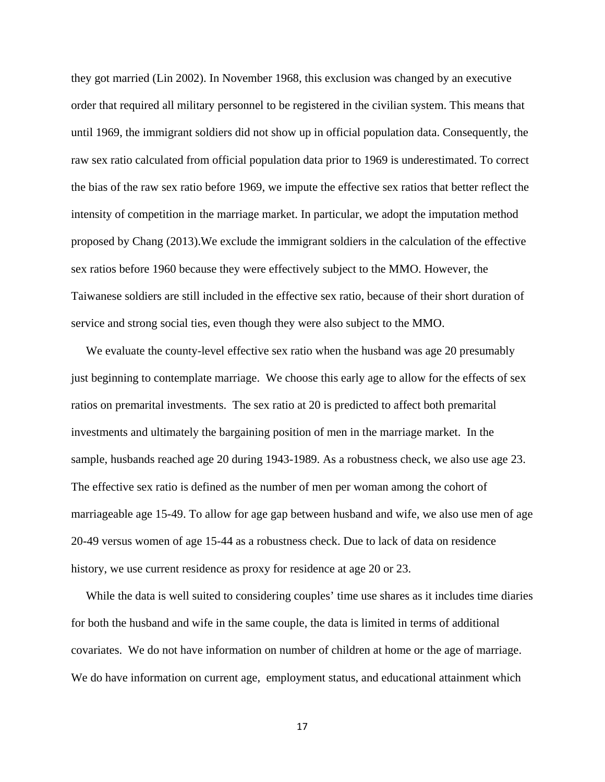they got married (Lin 2002). In November 1968, this exclusion was changed by an executive order that required all military personnel to be registered in the civilian system. This means that until 1969, the immigrant soldiers did not show up in official population data. Consequently, the raw sex ratio calculated from official population data prior to 1969 is underestimated. To correct the bias of the raw sex ratio before 1969, we impute the effective sex ratios that better reflect the intensity of competition in the marriage market. In particular, we adopt the imputation method proposed by Chang (2013).We exclude the immigrant soldiers in the calculation of the effective sex ratios before 1960 because they were effectively subject to the MMO. However, the Taiwanese soldiers are still included in the effective sex ratio, because of their short duration of service and strong social ties, even though they were also subject to the MMO.

We evaluate the county-level effective sex ratio when the husband was age 20 presumably just beginning to contemplate marriage. We choose this early age to allow for the effects of sex ratios on premarital investments. The sex ratio at 20 is predicted to affect both premarital investments and ultimately the bargaining position of men in the marriage market. In the sample, husbands reached age 20 during 1943-1989. As a robustness check, we also use age 23. The effective sex ratio is defined as the number of men per woman among the cohort of marriageable age 15-49. To allow for age gap between husband and wife, we also use men of age 20-49 versus women of age 15-44 as a robustness check. Due to lack of data on residence history, we use current residence as proxy for residence at age 20 or 23.

 While the data is well suited to considering couples' time use shares as it includes time diaries for both the husband and wife in the same couple, the data is limited in terms of additional covariates. We do not have information on number of children at home or the age of marriage. We do have information on current age, employment status, and educational attainment which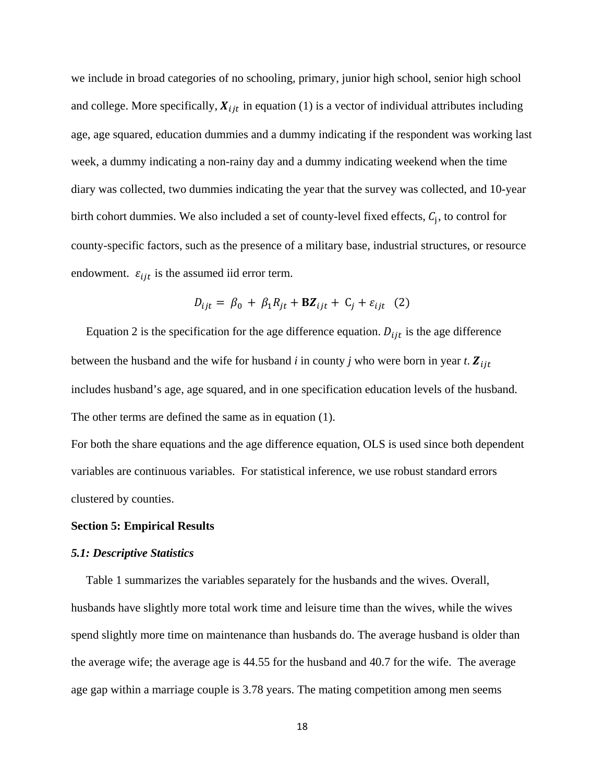we include in broad categories of no schooling, primary, junior high school, senior high school and college. More specifically,  $X_{ijt}$  in equation (1) is a vector of individual attributes including age, age squared, education dummies and a dummy indicating if the respondent was working last week, a dummy indicating a non-rainy day and a dummy indicating weekend when the time diary was collected, two dummies indicating the year that the survey was collected, and 10-year birth cohort dummies. We also included a set of county-level fixed effects,  $C_i$ , to control for county-specific factors, such as the presence of a military base, industrial structures, or resource endowment.  $\varepsilon_{ijt}$  is the assumed iid error term.

$$
D_{ijt} = \beta_0 + \beta_1 R_{jt} + \mathbf{BZ}_{ijt} + C_j + \varepsilon_{ijt} \quad (2)
$$

Equation 2 is the specification for the age difference equation.  $D_{ijt}$  is the age difference between the husband and the wife for husband  $i$  in county  $j$  who were born in year  $t$ .  $\mathbf{Z}_{ijt}$ includes husband's age, age squared, and in one specification education levels of the husband. The other terms are defined the same as in equation (1).

For both the share equations and the age difference equation, OLS is used since both dependent variables are continuous variables. For statistical inference, we use robust standard errors clustered by counties.

# **Section 5: Empirical Results**

## *5.1: Descriptive Statistics*

 Table 1 summarizes the variables separately for the husbands and the wives. Overall, husbands have slightly more total work time and leisure time than the wives, while the wives spend slightly more time on maintenance than husbands do. The average husband is older than the average wife; the average age is 44.55 for the husband and 40.7 for the wife. The average age gap within a marriage couple is 3.78 years. The mating competition among men seems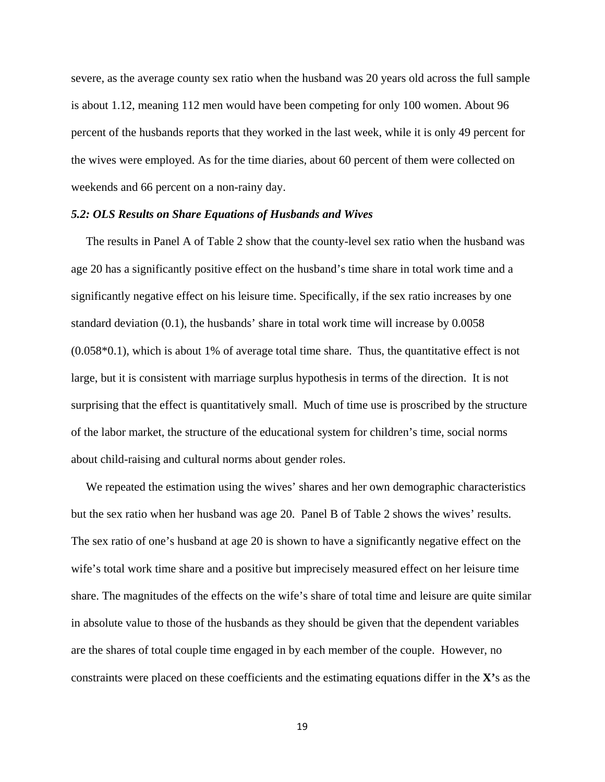severe, as the average county sex ratio when the husband was 20 years old across the full sample is about 1.12, meaning 112 men would have been competing for only 100 women. About 96 percent of the husbands reports that they worked in the last week, while it is only 49 percent for the wives were employed. As for the time diaries, about 60 percent of them were collected on weekends and 66 percent on a non-rainy day.

# *5.2: OLS Results on Share Equations of Husbands and Wives*

 The results in Panel A of Table 2 show that the county-level sex ratio when the husband was age 20 has a significantly positive effect on the husband's time share in total work time and a significantly negative effect on his leisure time. Specifically, if the sex ratio increases by one standard deviation (0.1), the husbands' share in total work time will increase by 0.0058 (0.058\*0.1), which is about 1% of average total time share. Thus, the quantitative effect is not large, but it is consistent with marriage surplus hypothesis in terms of the direction. It is not surprising that the effect is quantitatively small. Much of time use is proscribed by the structure of the labor market, the structure of the educational system for children's time, social norms about child-raising and cultural norms about gender roles.

 We repeated the estimation using the wives' shares and her own demographic characteristics but the sex ratio when her husband was age 20. Panel B of Table 2 shows the wives' results. The sex ratio of one's husband at age 20 is shown to have a significantly negative effect on the wife's total work time share and a positive but imprecisely measured effect on her leisure time share. The magnitudes of the effects on the wife's share of total time and leisure are quite similar in absolute value to those of the husbands as they should be given that the dependent variables are the shares of total couple time engaged in by each member of the couple. However, no constraints were placed on these coefficients and the estimating equations differ in the **X'**s as the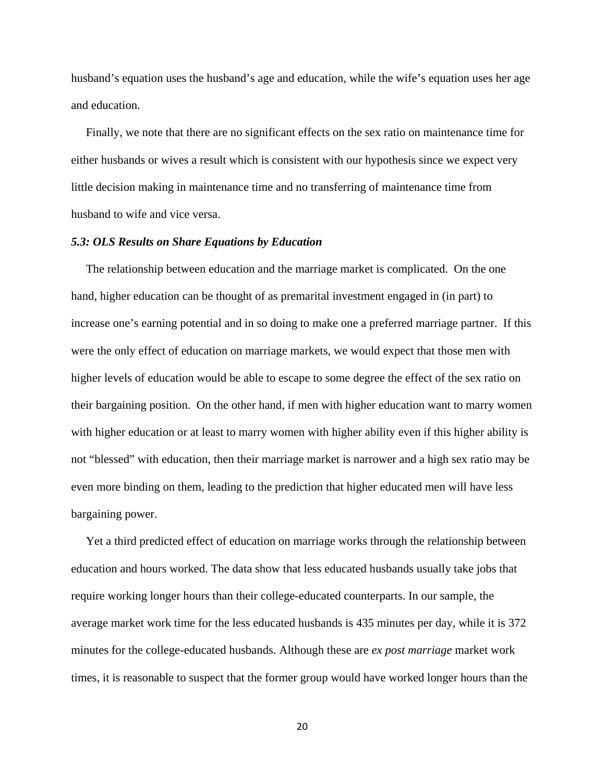husband's equation uses the husband's age and education, while the wife's equation uses her age and education.

 Finally, we note that there are no significant effects on the sex ratio on maintenance time for either husbands or wives a result which is consistent with our hypothesis since we expect very little decision making in maintenance time and no transferring of maintenance time from husband to wife and vice versa.

# *5.3: OLS Results on Share Equations by Education*

 The relationship between education and the marriage market is complicated. On the one hand, higher education can be thought of as premarital investment engaged in (in part) to increase one's earning potential and in so doing to make one a preferred marriage partner. If this were the only effect of education on marriage markets, we would expect that those men with higher levels of education would be able to escape to some degree the effect of the sex ratio on their bargaining position. On the other hand, if men with higher education want to marry women with higher education or at least to marry women with higher ability even if this higher ability is not "blessed" with education, then their marriage market is narrower and a high sex ratio may be even more binding on them, leading to the prediction that higher educated men will have less bargaining power.

 Yet a third predicted effect of education on marriage works through the relationship between education and hours worked. The data show that less educated husbands usually take jobs that require working longer hours than their college-educated counterparts. In our sample, the average market work time for the less educated husbands is 435 minutes per day, while it is 372 minutes for the college-educated husbands. Although these are *ex post marriage* market work times, it is reasonable to suspect that the former group would have worked longer hours than the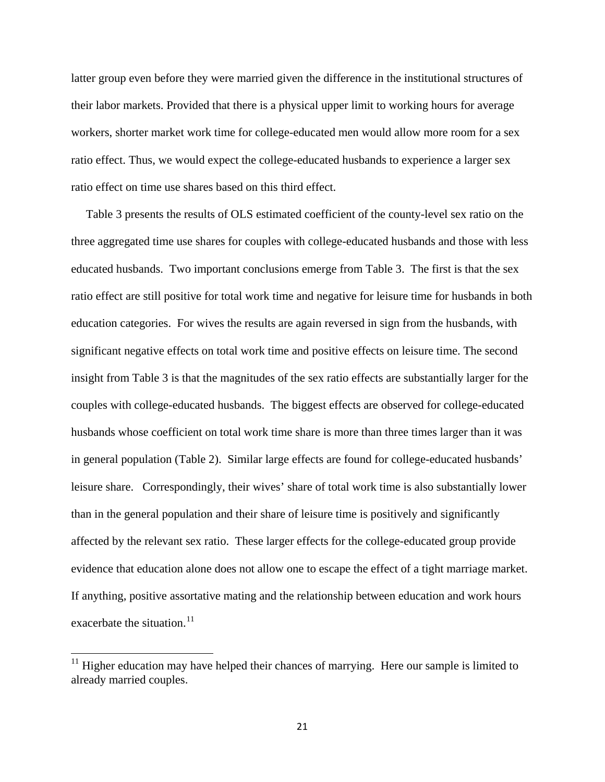latter group even before they were married given the difference in the institutional structures of their labor markets. Provided that there is a physical upper limit to working hours for average workers, shorter market work time for college-educated men would allow more room for a sex ratio effect. Thus, we would expect the college-educated husbands to experience a larger sex ratio effect on time use shares based on this third effect.

 Table 3 presents the results of OLS estimated coefficient of the county-level sex ratio on the three aggregated time use shares for couples with college-educated husbands and those with less educated husbands. Two important conclusions emerge from Table 3. The first is that the sex ratio effect are still positive for total work time and negative for leisure time for husbands in both education categories. For wives the results are again reversed in sign from the husbands, with significant negative effects on total work time and positive effects on leisure time. The second insight from Table 3 is that the magnitudes of the sex ratio effects are substantially larger for the couples with college-educated husbands. The biggest effects are observed for college-educated husbands whose coefficient on total work time share is more than three times larger than it was in general population (Table 2). Similar large effects are found for college-educated husbands' leisure share. Correspondingly, their wives' share of total work time is also substantially lower than in the general population and their share of leisure time is positively and significantly affected by the relevant sex ratio. These larger effects for the college-educated group provide evidence that education alone does not allow one to escape the effect of a tight marriage market. If anything, positive assortative mating and the relationship between education and work hours exacerbate the situation. $11$ 

<span id="page-23-0"></span> $11$  Higher education may have helped their chances of marrying. Here our sample is limited to already married couples.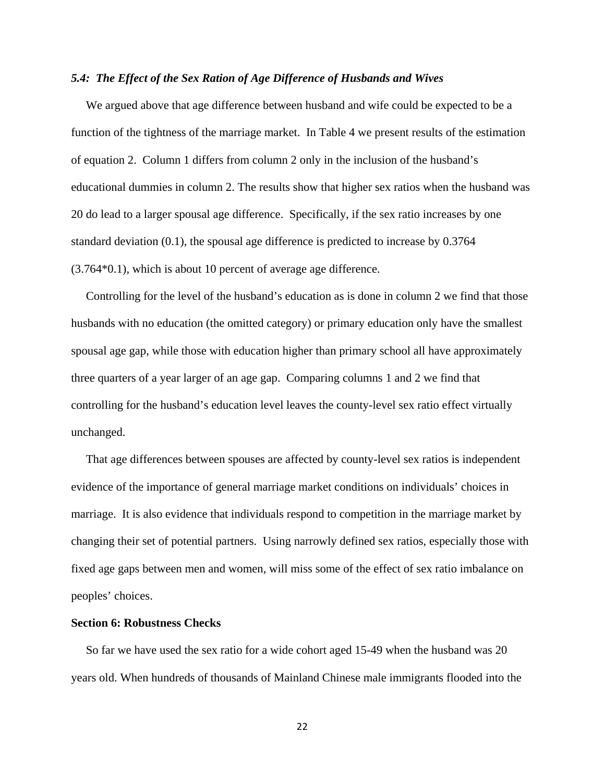# *5.4: The Effect of the Sex Ration of Age Difference of Husbands and Wives*

 We argued above that age difference between husband and wife could be expected to be a function of the tightness of the marriage market. In Table 4 we present results of the estimation of equation 2. Column 1 differs from column 2 only in the inclusion of the husband's educational dummies in column 2. The results show that higher sex ratios when the husband was 20 do lead to a larger spousal age difference. Specifically, if the sex ratio increases by one standard deviation (0.1), the spousal age difference is predicted to increase by 0.3764 (3.764\*0.1), which is about 10 percent of average age difference.

 Controlling for the level of the husband's education as is done in column 2 we find that those husbands with no education (the omitted category) or primary education only have the smallest spousal age gap, while those with education higher than primary school all have approximately three quarters of a year larger of an age gap. Comparing columns 1 and 2 we find that controlling for the husband's education level leaves the county-level sex ratio effect virtually unchanged.

 That age differences between spouses are affected by county-level sex ratios is independent evidence of the importance of general marriage market conditions on individuals' choices in marriage. It is also evidence that individuals respond to competition in the marriage market by changing their set of potential partners. Using narrowly defined sex ratios, especially those with fixed age gaps between men and women, will miss some of the effect of sex ratio imbalance on peoples' choices.

# **Section 6: Robustness Checks**

 So far we have used the sex ratio for a wide cohort aged 15-49 when the husband was 20 years old. When hundreds of thousands of Mainland Chinese male immigrants flooded into the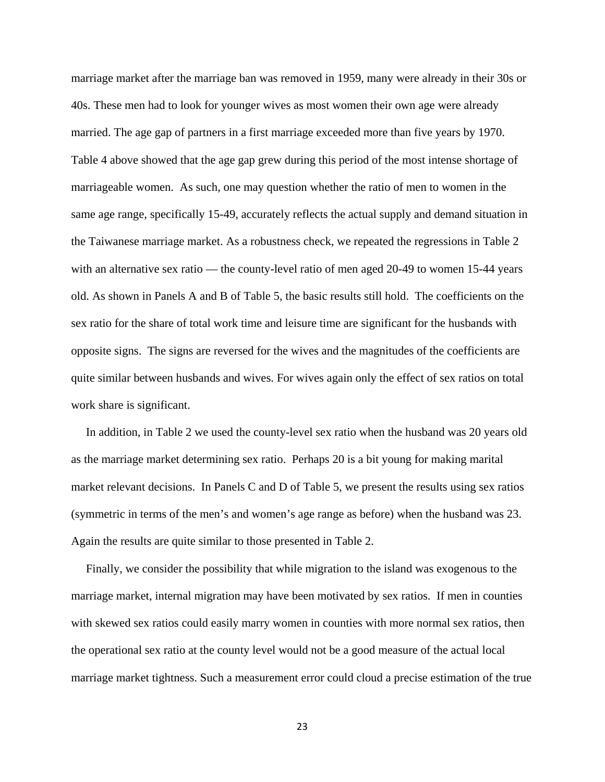marriage market after the marriage ban was removed in 1959, many were already in their 30s or 40s. These men had to look for younger wives as most women their own age were already married. The age gap of partners in a first marriage exceeded more than five years by 1970. Table 4 above showed that the age gap grew during this period of the most intense shortage of marriageable women. As such, one may question whether the ratio of men to women in the same age range, specifically 15-49, accurately reflects the actual supply and demand situation in the Taiwanese marriage market. As a robustness check, we repeated the regressions in Table 2 with an alternative sex ratio — the county-level ratio of men aged 20-49 to women 15-44 years old. As shown in Panels A and B of Table 5, the basic results still hold. The coefficients on the sex ratio for the share of total work time and leisure time are significant for the husbands with opposite signs. The signs are reversed for the wives and the magnitudes of the coefficients are quite similar between husbands and wives. For wives again only the effect of sex ratios on total work share is significant.

 In addition, in Table 2 we used the county-level sex ratio when the husband was 20 years old as the marriage market determining sex ratio. Perhaps 20 is a bit young for making marital market relevant decisions. In Panels C and D of Table 5, we present the results using sex ratios (symmetric in terms of the men's and women's age range as before) when the husband was 23. Again the results are quite similar to those presented in Table 2.

 Finally, we consider the possibility that while migration to the island was exogenous to the marriage market, internal migration may have been motivated by sex ratios. If men in counties with skewed sex ratios could easily marry women in counties with more normal sex ratios, then the operational sex ratio at the county level would not be a good measure of the actual local marriage market tightness. Such a measurement error could cloud a precise estimation of the true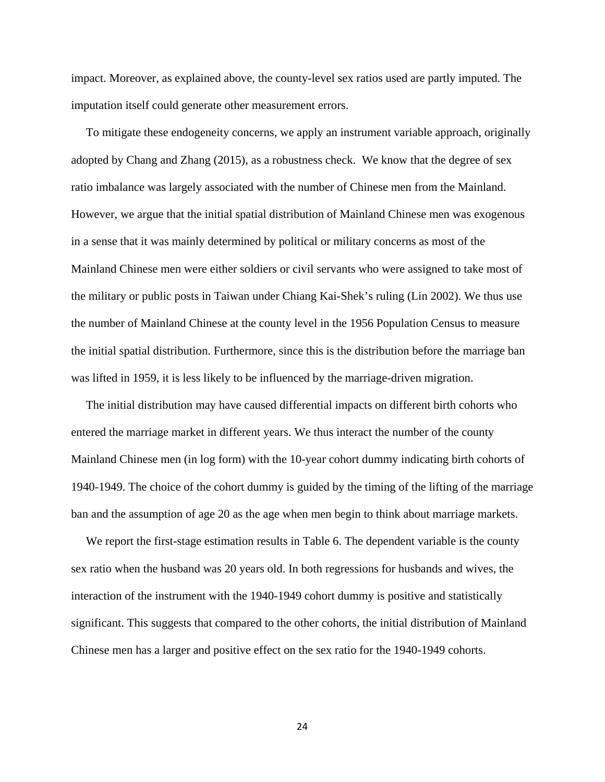impact. Moreover, as explained above, the county-level sex ratios used are partly imputed. The imputation itself could generate other measurement errors.

 To mitigate these endogeneity concerns, we apply an instrument variable approach, originally adopted by Chang and Zhang (2015), as a robustness check. We know that the degree of sex ratio imbalance was largely associated with the number of Chinese men from the Mainland. However, we argue that the initial spatial distribution of Mainland Chinese men was exogenous in a sense that it was mainly determined by political or military concerns as most of the Mainland Chinese men were either soldiers or civil servants who were assigned to take most of the military or public posts in Taiwan under Chiang Kai-Shek's ruling (Lin 2002). We thus use the number of Mainland Chinese at the county level in the 1956 Population Census to measure the initial spatial distribution. Furthermore, since this is the distribution before the marriage ban was lifted in 1959, it is less likely to be influenced by the marriage-driven migration.

 The initial distribution may have caused differential impacts on different birth cohorts who entered the marriage market in different years. We thus interact the number of the county Mainland Chinese men (in log form) with the 10-year cohort dummy indicating birth cohorts of 1940-1949. The choice of the cohort dummy is guided by the timing of the lifting of the marriage ban and the assumption of age 20 as the age when men begin to think about marriage markets.

We report the first-stage estimation results in Table 6. The dependent variable is the county sex ratio when the husband was 20 years old. In both regressions for husbands and wives, the interaction of the instrument with the 1940-1949 cohort dummy is positive and statistically significant. This suggests that compared to the other cohorts, the initial distribution of Mainland Chinese men has a larger and positive effect on the sex ratio for the 1940-1949 cohorts.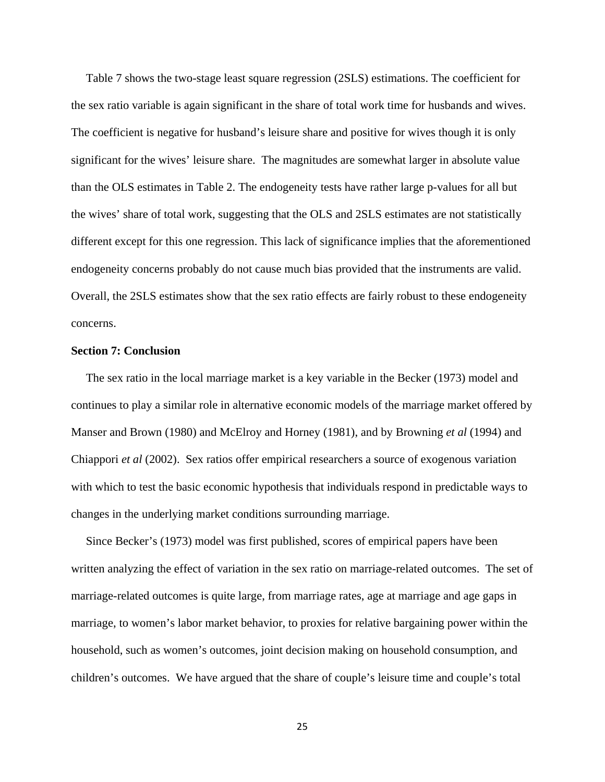Table 7 shows the two-stage least square regression (2SLS) estimations. The coefficient for the sex ratio variable is again significant in the share of total work time for husbands and wives. The coefficient is negative for husband's leisure share and positive for wives though it is only significant for the wives' leisure share. The magnitudes are somewhat larger in absolute value than the OLS estimates in Table 2. The endogeneity tests have rather large p-values for all but the wives' share of total work, suggesting that the OLS and 2SLS estimates are not statistically different except for this one regression. This lack of significance implies that the aforementioned endogeneity concerns probably do not cause much bias provided that the instruments are valid. Overall, the 2SLS estimates show that the sex ratio effects are fairly robust to these endogeneity concerns.

# **Section 7: Conclusion**

 The sex ratio in the local marriage market is a key variable in the Becker (1973) model and continues to play a similar role in alternative economic models of the marriage market offered by Manser and Brown (1980) and McElroy and Horney (1981), and by Browning *et al* (1994) and Chiappori *et al* (2002). Sex ratios offer empirical researchers a source of exogenous variation with which to test the basic economic hypothesis that individuals respond in predictable ways to changes in the underlying market conditions surrounding marriage.

 Since Becker's (1973) model was first published, scores of empirical papers have been written analyzing the effect of variation in the sex ratio on marriage-related outcomes. The set of marriage-related outcomes is quite large, from marriage rates, age at marriage and age gaps in marriage, to women's labor market behavior, to proxies for relative bargaining power within the household, such as women's outcomes, joint decision making on household consumption, and children's outcomes. We have argued that the share of couple's leisure time and couple's total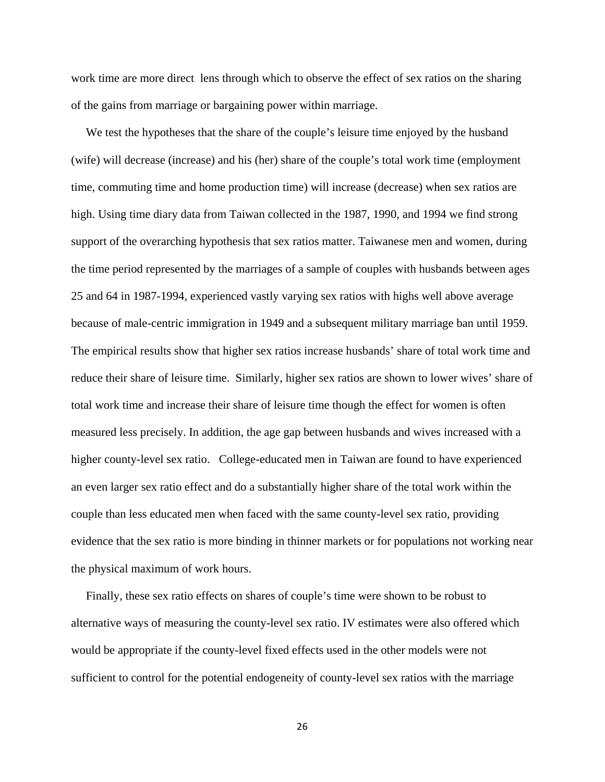work time are more direct lens through which to observe the effect of sex ratios on the sharing of the gains from marriage or bargaining power within marriage.

 We test the hypotheses that the share of the couple's leisure time enjoyed by the husband (wife) will decrease (increase) and his (her) share of the couple's total work time (employment time, commuting time and home production time) will increase (decrease) when sex ratios are high. Using time diary data from Taiwan collected in the 1987, 1990, and 1994 we find strong support of the overarching hypothesis that sex ratios matter. Taiwanese men and women, during the time period represented by the marriages of a sample of couples with husbands between ages 25 and 64 in 1987-1994, experienced vastly varying sex ratios with highs well above average because of male-centric immigration in 1949 and a subsequent military marriage ban until 1959. The empirical results show that higher sex ratios increase husbands' share of total work time and reduce their share of leisure time. Similarly, higher sex ratios are shown to lower wives' share of total work time and increase their share of leisure time though the effect for women is often measured less precisely. In addition, the age gap between husbands and wives increased with a higher county-level sex ratio. College-educated men in Taiwan are found to have experienced an even larger sex ratio effect and do a substantially higher share of the total work within the couple than less educated men when faced with the same county-level sex ratio, providing evidence that the sex ratio is more binding in thinner markets or for populations not working near the physical maximum of work hours.

 Finally, these sex ratio effects on shares of couple's time were shown to be robust to alternative ways of measuring the county-level sex ratio. IV estimates were also offered which would be appropriate if the county-level fixed effects used in the other models were not sufficient to control for the potential endogeneity of county-level sex ratios with the marriage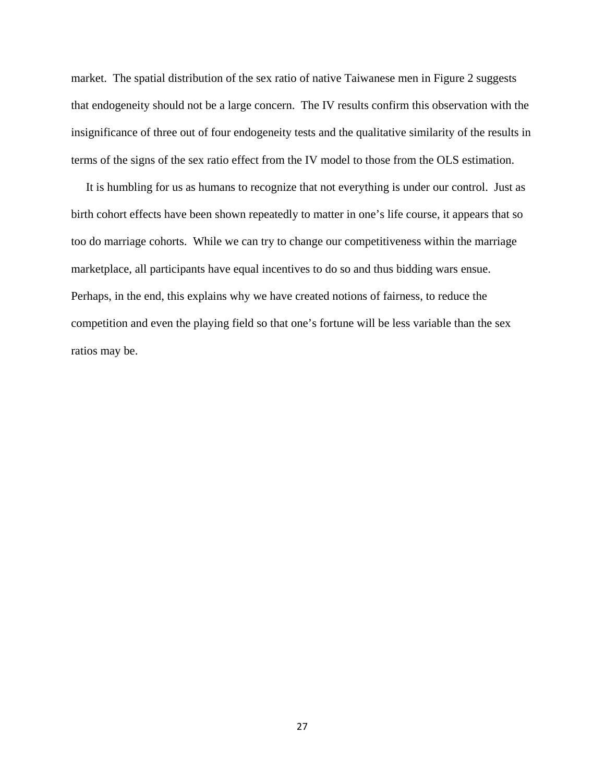market. The spatial distribution of the sex ratio of native Taiwanese men in Figure 2 suggests that endogeneity should not be a large concern. The IV results confirm this observation with the insignificance of three out of four endogeneity tests and the qualitative similarity of the results in terms of the signs of the sex ratio effect from the IV model to those from the OLS estimation.

 It is humbling for us as humans to recognize that not everything is under our control. Just as birth cohort effects have been shown repeatedly to matter in one's life course, it appears that so too do marriage cohorts. While we can try to change our competitiveness within the marriage marketplace, all participants have equal incentives to do so and thus bidding wars ensue. Perhaps, in the end, this explains why we have created notions of fairness, to reduce the competition and even the playing field so that one's fortune will be less variable than the sex ratios may be.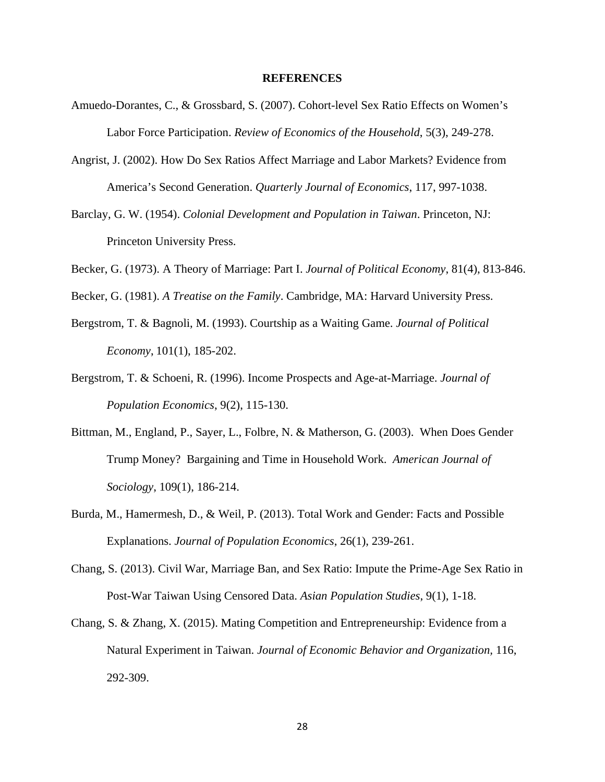## **REFERENCES**

- Amuedo-Dorantes, C., & Grossbard, S. (2007). Cohort-level Sex Ratio Effects on Women's Labor Force Participation. *Review of Economics of the Household*, 5(3), 249-278.
- Angrist, J. (2002). How Do Sex Ratios Affect Marriage and Labor Markets? Evidence from America's Second Generation. *Quarterly Journal of Economics*, 117, 997-1038.
- Barclay, G. W. (1954). *Colonial Development and Population in Taiwan*. Princeton, NJ: Princeton University Press.
- Becker, G. (1973). A Theory of Marriage: Part I. *Journal of Political Economy*, 81(4), 813-846.
- Becker, G. (1981). *A Treatise on the Family*. Cambridge, MA: Harvard University Press.
- Bergstrom, T. & Bagnoli, M. (1993). Courtship as a Waiting Game. *Journal of Political Economy*, 101(1), 185-202.
- Bergstrom, T. & Schoeni, R. (1996). Income Prospects and Age-at-Marriage. *Journal of Population Economics*, 9(2), 115-130.
- Bittman, M., England, P., Sayer, L., Folbre, N. & Matherson, G. (2003). When Does Gender Trump Money? Bargaining and Time in Household Work. *American Journal of Sociology*, 109(1), 186-214.
- Burda, M., Hamermesh, D., & Weil, P. (2013). Total Work and Gender: Facts and Possible Explanations. *Journal of Population Economics*, 26(1), 239-261.
- Chang, S. (2013). Civil War, Marriage Ban, and Sex Ratio: Impute the Prime-Age Sex Ratio in Post-War Taiwan Using Censored Data. *Asian Population Studies*, 9(1), 1-18.
- Chang, S. & Zhang, X. (2015). Mating Competition and Entrepreneurship: Evidence from a Natural Experiment in Taiwan. *Journal of Economic Behavior and Organization,* 116, 292-309.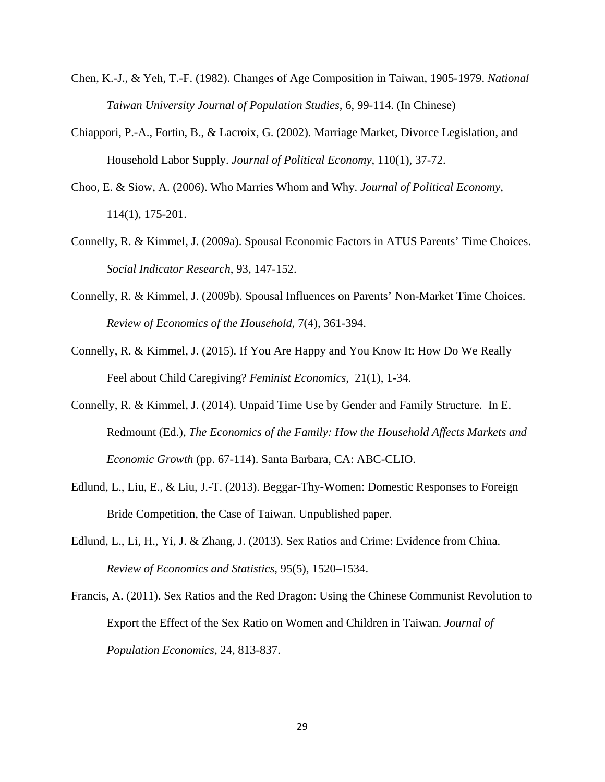- Chen, K.-J., & Yeh, T.-F. (1982). Changes of Age Composition in Taiwan, 1905-1979. *National Taiwan University Journal of Population Studies*, 6, 99-114. (In Chinese)
- Chiappori, P.-A., Fortin, B., & Lacroix, G. (2002). Marriage Market, Divorce Legislation, and Household Labor Supply. *Journal of Political Economy*, 110(1), 37-72.
- Choo, E. & Siow, A. (2006). Who Marries Whom and Why. *Journal of Political Economy*, 114(1), 175-201.
- Connelly, R. & Kimmel, J. (2009a). Spousal Economic Factors in ATUS Parents' Time Choices. *Social Indicator Research*, 93, 147-152.
- Connelly, R. & Kimmel, J. (2009b). Spousal Influences on Parents' Non-Market Time Choices. *Review of Economics of the Household*, 7(4), 361-394.
- Connelly, R. & Kimmel, J. (2015). If You Are Happy and You Know It: How Do We Really Feel about Child Caregiving? *Feminist Economics,* 21(1), 1-34.
- Connelly, R. & Kimmel, J. (2014). Unpaid Time Use by Gender and Family Structure. In E. Redmount (Ed.), *The Economics of the Family: How the Household Affects Markets and Economic Growth* (pp. 67-114). Santa Barbara, CA: ABC-CLIO.
- Edlund, L., Liu, E., & Liu, J.-T. (2013). Beggar-Thy-Women: Domestic Responses to Foreign Bride Competition, the Case of Taiwan. Unpublished paper.
- Edlund, L., Li, H., Yi, J. & Zhang, J. (2013). Sex Ratios and Crime: Evidence from China. *Review of Economics and Statistics*, 95(5), 1520–1534.
- Francis, A. (2011). Sex Ratios and the Red Dragon: Using the Chinese Communist Revolution to Export the Effect of the Sex Ratio on Women and Children in Taiwan. *Journal of Population Economics*, 24, 813-837.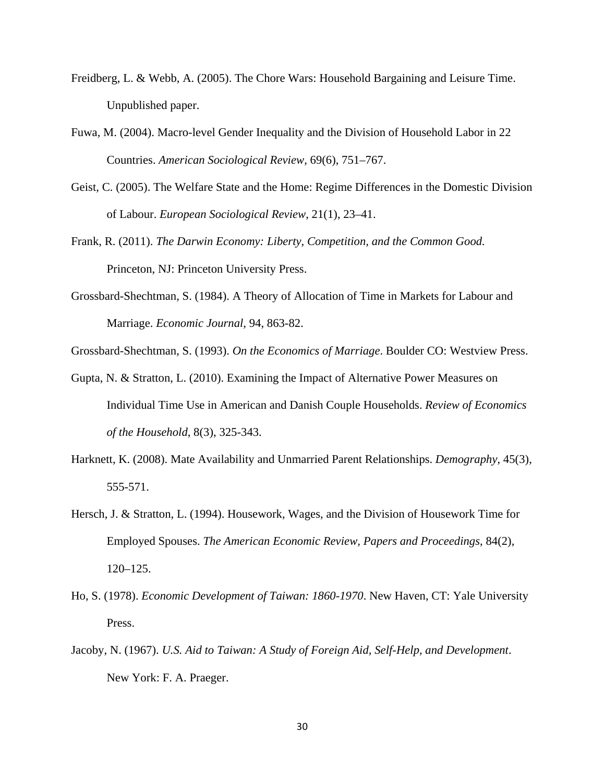- Freidberg, L. & Webb, A. (2005). The Chore Wars: Household Bargaining and Leisure Time. Unpublished paper.
- Fuwa, M. (2004). Macro-level Gender Inequality and the Division of Household Labor in 22 Countries. *American Sociological Review*, 69(6), 751–767.
- Geist, C. (2005). The Welfare State and the Home: Regime Differences in the Domestic Division of Labour. *European Sociological Review*, 21(1), 23–41.
- Frank, R. (2011). *The Darwin Economy: Liberty, Competition, and the Common Good.*  Princeton, NJ: Princeton University Press.
- Grossbard-Shechtman, S. (1984). A Theory of Allocation of Time in Markets for Labour and Marriage. *Economic Journal*, 94, 863-82.
- Grossbard-Shechtman, S. (1993). *On the Economics of Marriage*. Boulder CO: Westview Press.
- Gupta, N. & Stratton, L. (2010). Examining the Impact of Alternative Power Measures on Individual Time Use in American and Danish Couple Households. *Review of Economics of the Household*, 8(3), 325-343.
- Harknett, K. (2008). Mate Availability and Unmarried Parent Relationships. *Demography*, 45(3), 555-571.
- Hersch, J. & Stratton, L. (1994). Housework, Wages, and the Division of Housework Time for Employed Spouses. *The American Economic Review, Papers and Proceedings*, 84(2), 120–125.
- Ho, S. (1978). *Economic Development of Taiwan: 1860-1970*. New Haven, CT: Yale University Press.
- Jacoby, N. (1967). *U.S. Aid to Taiwan: A Study of Foreign Aid, Self-Help, and Development*. New York: F. A. Praeger.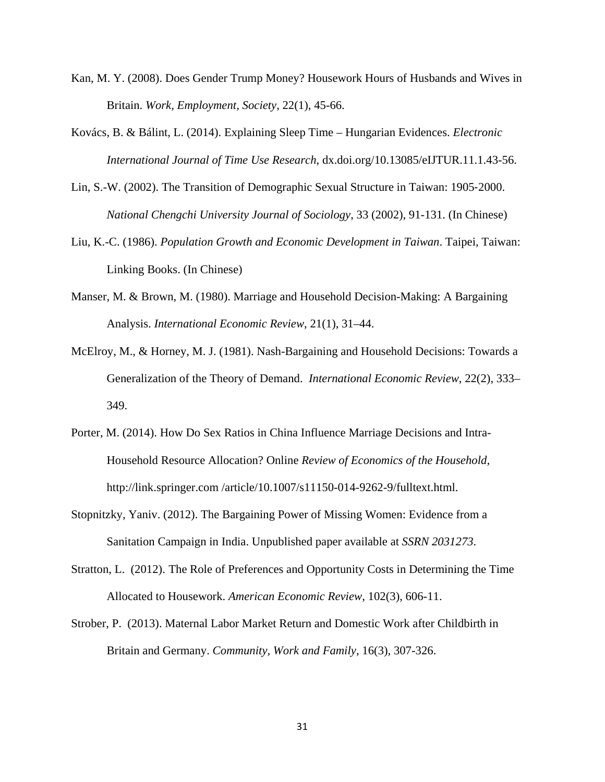- Kan, M. Y. (2008). Does Gender Trump Money? Housework Hours of Husbands and Wives in Britain. *Work, Employment, Society*, 22(1), 45-66.
- Kovács, B. & Bálint, L. (2014). Explaining Sleep Time Hungarian Evidences. *Electronic International Journal of Time Use Research*, dx.doi.org/10.13085/eIJTUR.11.1.43-56.
- Lin, S.-W. (2002). The Transition of Demographic Sexual Structure in Taiwan: 1905-2000. *National Chengchi University Journal of Sociology*, 33 (2002), 91-131. (In Chinese)
- Liu, K.-C. (1986). *Population Growth and Economic Development in Taiwan*. Taipei, Taiwan: Linking Books. (In Chinese)
- Manser, M. & Brown, M. (1980). Marriage and Household Decision-Making: A Bargaining Analysis. *International Economic Review*, 21(1), 31–44.
- McElroy, M., & Horney, M. J. (1981). Nash-Bargaining and Household Decisions: Towards a Generalization of the Theory of Demand. *International Economic Review*, 22(2), 333– 349.
- Porter, M. (2014). How Do Sex Ratios in China Influence Marriage Decisions and Intra-Household Resource Allocation? Online *Review of Economics of the Household,*  http://link.springer.com /article/10.1007/s11150-014-9262-9/fulltext.html.
- Stopnitzky, Yaniv. (2012). The Bargaining Power of Missing Women: Evidence from a Sanitation Campaign in India. Unpublished paper available at *SSRN 2031273*.
- Stratton, L. (2012). The Role of Preferences and Opportunity Costs in Determining the Time Allocated to Housework. *American Economic Review*, 102(3), 606-11.
- Strober, P. (2013). Maternal Labor Market Return and Domestic Work after Childbirth in Britain and Germany. *Community, Work and Family*, 16(3), 307-326.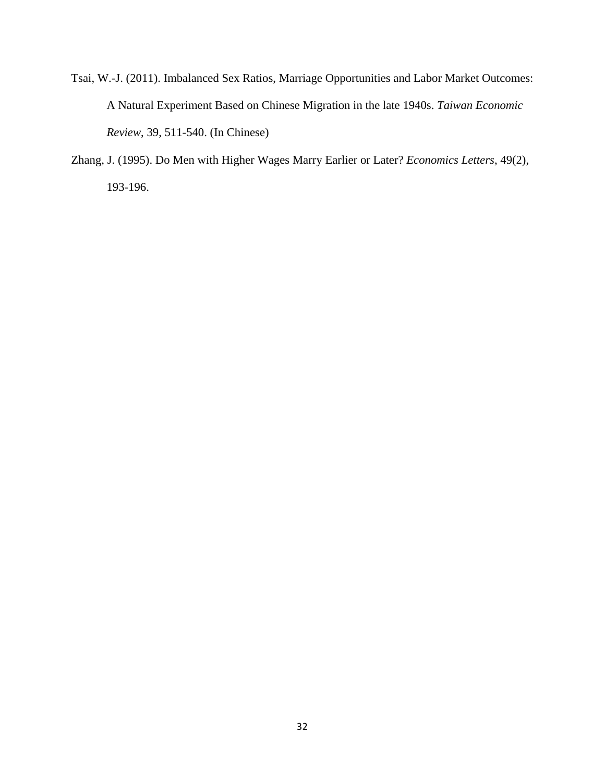- Tsai, W.-J. (2011). Imbalanced Sex Ratios, Marriage Opportunities and Labor Market Outcomes: A Natural Experiment Based on Chinese Migration in the late 1940s. *Taiwan Economic Review*, 39, 511-540. (In Chinese)
- Zhang, J. (1995). Do Men with Higher Wages Marry Earlier or Later? *Economics Letters*, 49(2), 193-196.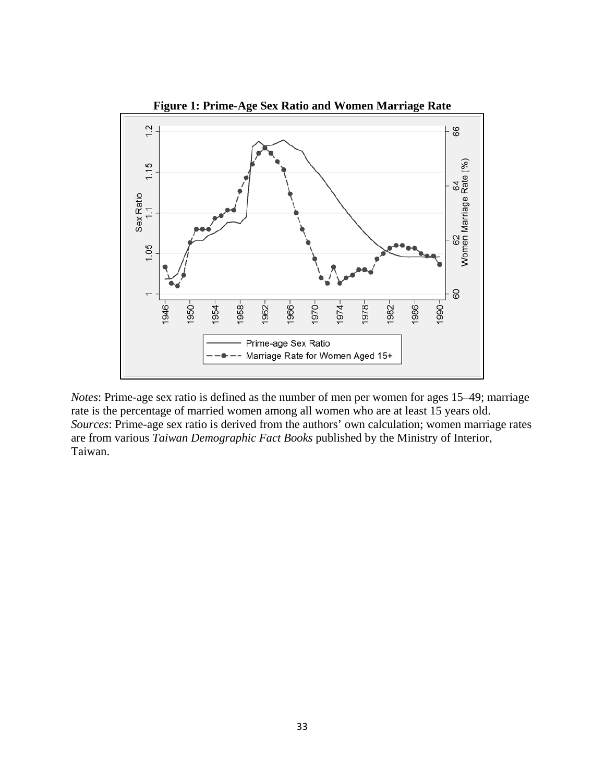

*Notes*: Prime-age sex ratio is defined as the number of men per women for ages 15–49; marriage rate is the percentage of married women among all women who are at least 15 years old. *Sources*: Prime-age sex ratio is derived from the authors' own calculation; women marriage rates are from various *Taiwan Demographic Fact Books* published by the Ministry of Interior, Taiwan.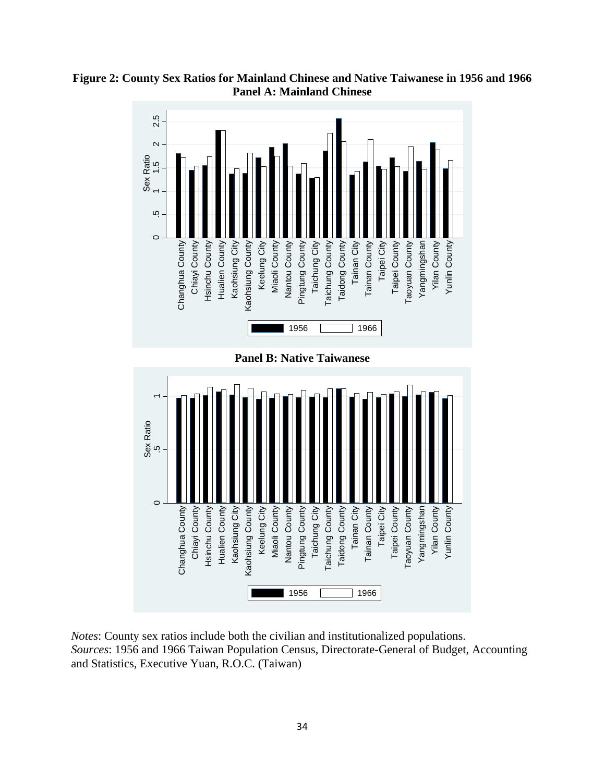

**Figure 2: County Sex Ratios for Mainland Chinese and Native Taiwanese in 1956 and 1966 Panel A: Mainland Chinese**

*Notes*: County sex ratios include both the civilian and institutionalized populations. *Sources*: 1956 and 1966 Taiwan Population Census, Directorate-General of Budget, Accounting and Statistics, Executive Yuan, R.O.C. (Taiwan)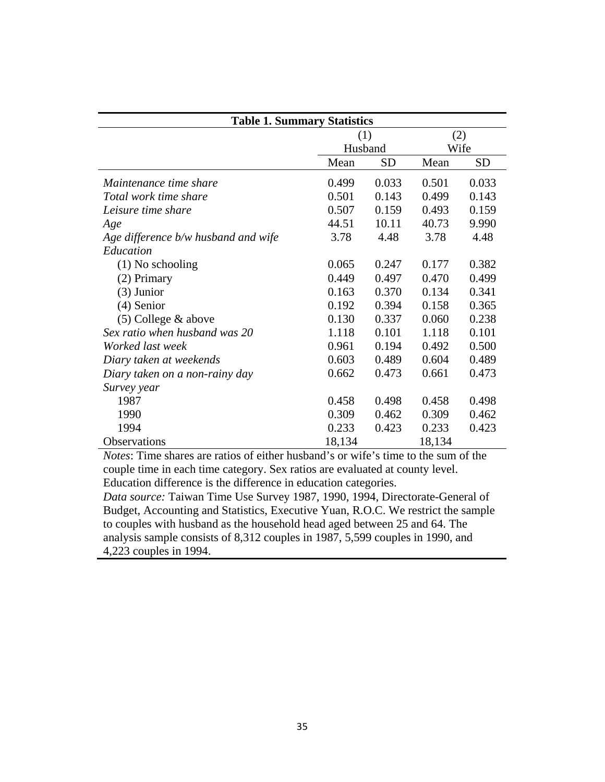| <b>Table 1. Summary Statistics</b>  |         |           |        |           |
|-------------------------------------|---------|-----------|--------|-----------|
|                                     | (1)     |           | (2)    |           |
|                                     | Husband |           | Wife   |           |
|                                     | Mean    | <b>SD</b> | Mean   | <b>SD</b> |
| Maintenance time share              | 0.499   | 0.033     | 0.501  | 0.033     |
| Total work time share               | 0.501   | 0.143     | 0.499  | 0.143     |
| Leisure time share                  | 0.507   | 0.159     | 0.493  | 0.159     |
| Age                                 | 44.51   | 10.11     | 40.73  | 9.990     |
| Age difference b/w husband and wife | 3.78    | 4.48      | 3.78   | 4.48      |
| Education                           |         |           |        |           |
| $(1)$ No schooling                  | 0.065   | 0.247     | 0.177  | 0.382     |
| (2) Primary                         | 0.449   | 0.497     | 0.470  | 0.499     |
| $(3)$ Junior                        | 0.163   | 0.370     | 0.134  | 0.341     |
| $(4)$ Senior                        | 0.192   | 0.394     | 0.158  | 0.365     |
| $(5)$ College & above               | 0.130   | 0.337     | 0.060  | 0.238     |
| Sex ratio when husband was 20       | 1.118   | 0.101     | 1.118  | 0.101     |
| Worked last week                    | 0.961   | 0.194     | 0.492  | 0.500     |
| Diary taken at weekends             | 0.603   | 0.489     | 0.604  | 0.489     |
| Diary taken on a non-rainy day      | 0.662   | 0.473     | 0.661  | 0.473     |
| Survey year                         |         |           |        |           |
| 1987                                | 0.458   | 0.498     | 0.458  | 0.498     |
| 1990                                | 0.309   | 0.462     | 0.309  | 0.462     |
| 1994                                | 0.233   | 0.423     | 0.233  | 0.423     |
| Observations                        | 18,134  |           | 18,134 |           |

*Notes*: Time shares are ratios of either husband's or wife's time to the sum of the couple time in each time category. Sex ratios are evaluated at county level. Education difference is the difference in education categories.

*Data source:* Taiwan Time Use Survey 1987, 1990, 1994, Directorate-General of Budget, Accounting and Statistics, Executive Yuan, R.O.C. We restrict the sample to couples with husband as the household head aged between 25 and 64. The analysis sample consists of 8,312 couples in 1987, 5,599 couples in 1990, and 4,223 couples in 1994.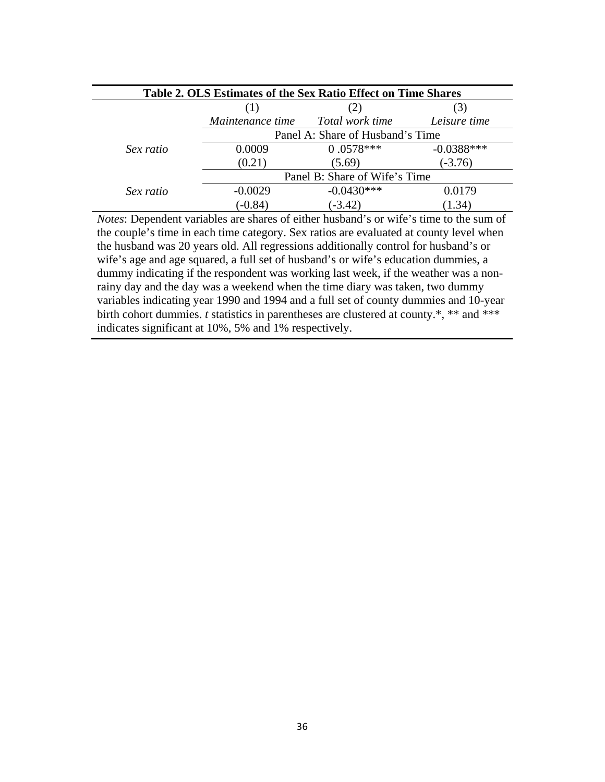| Table 2. OLS Estimates of the Sex Ratio Effect on Time Shares |                                  |                 |                |
|---------------------------------------------------------------|----------------------------------|-----------------|----------------|
|                                                               |                                  | (2)             | $\mathfrak{I}$ |
|                                                               | Maintenance time                 | Total work time | Leisure time   |
|                                                               | Panel A: Share of Husband's Time |                 |                |
| Sex ratio                                                     | 0.0009                           | $0.0578***$     | $-0.0388***$   |
|                                                               | (0.21)                           | (5.69)          | $(-3.76)$      |
|                                                               | Panel B: Share of Wife's Time    |                 |                |
| Sex ratio                                                     | $-0.0029$                        | $-0.0430***$    | 0.0179         |
|                                                               | $(-0.84)$                        | $(-3.42)$       | 1.34)          |

*Notes*: Dependent variables are shares of either husband's or wife's time to the sum of the couple's time in each time category. Sex ratios are evaluated at county level when the husband was 20 years old. All regressions additionally control for husband's or wife's age and age squared, a full set of husband's or wife's education dummies, a dummy indicating if the respondent was working last week, if the weather was a nonrainy day and the day was a weekend when the time diary was taken, two dummy variables indicating year 1990 and 1994 and a full set of county dummies and 10-year birth cohort dummies. *t* statistics in parentheses are clustered at county.\*, \*\* and \*\*\* indicates significant at 10%, 5% and 1% respectively.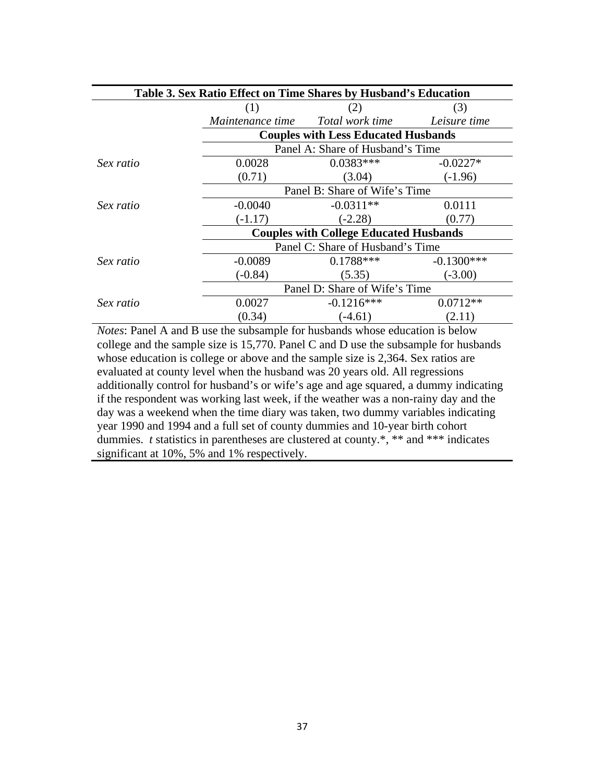| Table 3. Sex Ratio Effect on Time Shares by Husband's Education |                                               |                                            |              |
|-----------------------------------------------------------------|-----------------------------------------------|--------------------------------------------|--------------|
|                                                                 | (1)                                           | (2)                                        | (3)          |
|                                                                 | <i>Maintenance time</i>                       | Total work time                            | Leisure time |
|                                                                 |                                               | <b>Couples with Less Educated Husbands</b> |              |
|                                                                 |                                               | Panel A: Share of Husband's Time           |              |
| Sex ratio                                                       | 0.0028                                        | $0.0383***$                                | $-0.0227*$   |
|                                                                 | (0.71)                                        | (3.04)                                     | $(-1.96)$    |
|                                                                 | Panel B: Share of Wife's Time                 |                                            |              |
| Sex ratio                                                       | $-0.0040$                                     | $-0.0311**$                                | 0.0111       |
|                                                                 | $(-1.17)$                                     | $(-2.28)$                                  | (0.77)       |
|                                                                 | <b>Couples with College Educated Husbands</b> |                                            |              |
|                                                                 | Panel C: Share of Husband's Time              |                                            |              |
| Sex ratio                                                       | $-0.0089$                                     | $0.1788***$                                | $-0.1300***$ |
|                                                                 | $(-0.84)$                                     | (5.35)                                     | $(-3.00)$    |
|                                                                 | Panel D: Share of Wife's Time                 |                                            |              |
| Sex ratio                                                       | 0.0027                                        | $-0.1216***$                               | $0.0712**$   |
|                                                                 | (0.34)                                        | $(-4.61)$                                  | (2.11)       |

*Notes*: Panel A and B use the subsample for husbands whose education is below college and the sample size is 15,770. Panel C and D use the subsample for husbands whose education is college or above and the sample size is 2,364. Sex ratios are evaluated at county level when the husband was 20 years old. All regressions additionally control for husband's or wife's age and age squared, a dummy indicating if the respondent was working last week, if the weather was a non-rainy day and the day was a weekend when the time diary was taken, two dummy variables indicating year 1990 and 1994 and a full set of county dummies and 10-year birth cohort dummies. *t* statistics in parentheses are clustered at county.\*, \*\* and \*\*\* indicates significant at 10%, 5% and 1% respectively.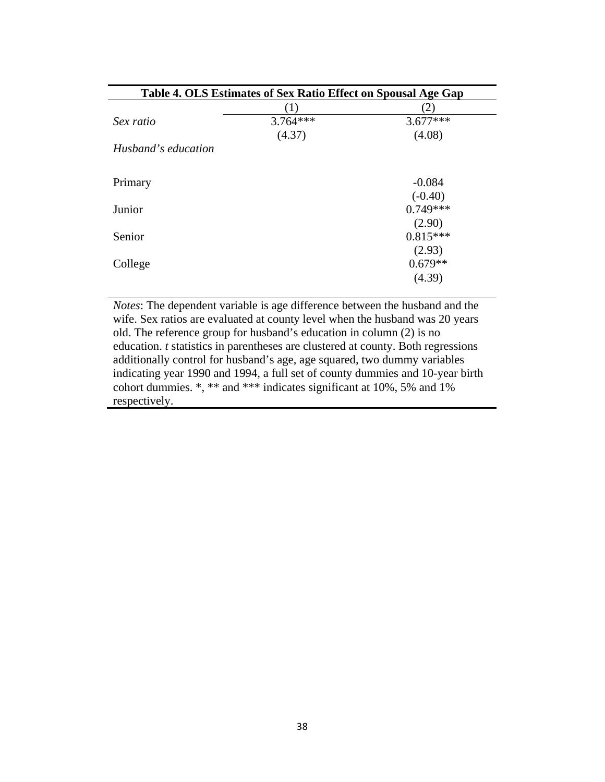| Table 4. OLS Estimates of Sex Ratio Effect on Spousal Age Gap |                  |            |
|---------------------------------------------------------------|------------------|------------|
|                                                               | $\left(1\right)$ | (2)        |
| Sex ratio                                                     | $3.764***$       | $3.677***$ |
|                                                               | (4.37)           | (4.08)     |
| Husband's education                                           |                  |            |
| Primary                                                       |                  | $-0.084$   |
|                                                               |                  | $(-0.40)$  |
| Junior                                                        |                  | $0.749***$ |
|                                                               |                  | (2.90)     |
| Senior                                                        |                  | $0.815***$ |
|                                                               |                  | (2.93)     |
| College                                                       |                  | $0.679**$  |
|                                                               |                  | (4.39)     |

*Notes*: The dependent variable is age difference between the husband and the wife. Sex ratios are evaluated at county level when the husband was 20 years old. The reference group for husband's education in column (2) is no education. *t* statistics in parentheses are clustered at county. Both regressions additionally control for husband's age, age squared, two dummy variables indicating year 1990 and 1994, a full set of county dummies and 10-year birth cohort dummies. \*, \*\* and \*\*\* indicates significant at 10%, 5% and 1% respectively.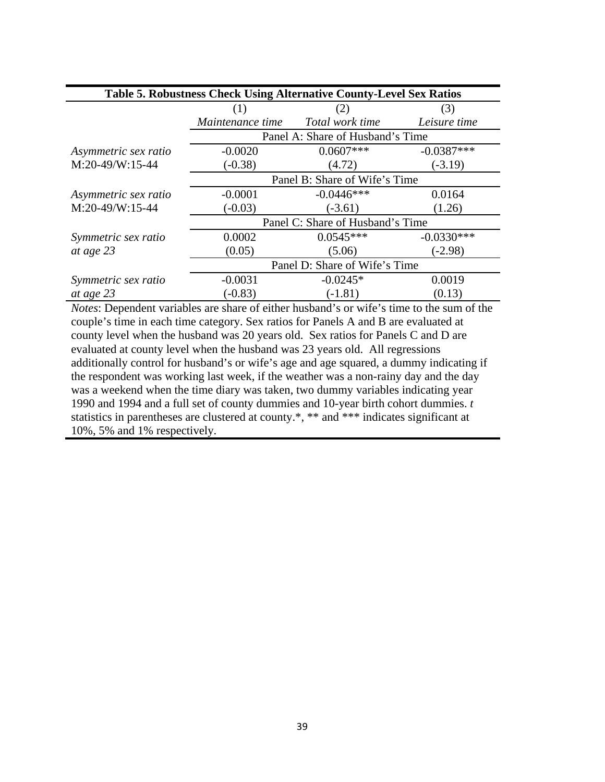| Table 5. Robustness Check Using Alternative County-Level Sex Ratios |                                  |                                  |              |
|---------------------------------------------------------------------|----------------------------------|----------------------------------|--------------|
|                                                                     | (1)                              | (2)                              | (3)          |
|                                                                     | Maintenance time                 | Total work time                  | Leisure time |
|                                                                     |                                  | Panel A: Share of Husband's Time |              |
| Asymmetric sex ratio                                                | $-0.0020$                        | $0.0607***$                      | $-0.0387***$ |
| $M:20-49/W:15-44$                                                   | $(-0.38)$                        | (4.72)                           | $(-3.19)$    |
|                                                                     | Panel B: Share of Wife's Time    |                                  |              |
| Asymmetric sex ratio                                                | $-0.0001$                        | $-0.0446***$                     | 0.0164       |
| $M:20-49/W:15-44$                                                   | $(-0.03)$                        | $(-3.61)$                        | (1.26)       |
|                                                                     | Panel C: Share of Husband's Time |                                  |              |
| Symmetric sex ratio                                                 | 0.0002                           | $0.0545***$                      | $-0.0330***$ |
| at age 23                                                           | (0.05)                           | (5.06)                           | $(-2.98)$    |
|                                                                     | Panel D: Share of Wife's Time    |                                  |              |
| Symmetric sex ratio                                                 | $-0.0031$                        | $-0.0245*$                       | 0.0019       |
| at age 23                                                           | $(-0.83)$                        | $(-1.81)$                        | (0.13)       |

*Notes*: Dependent variables are share of either husband's or wife's time to the sum of the couple's time in each time category. Sex ratios for Panels A and B are evaluated at county level when the husband was 20 years old. Sex ratios for Panels C and D are evaluated at county level when the husband was 23 years old. All regressions additionally control for husband's or wife's age and age squared, a dummy indicating if the respondent was working last week, if the weather was a non-rainy day and the day was a weekend when the time diary was taken, two dummy variables indicating year 1990 and 1994 and a full set of county dummies and 10-year birth cohort dummies. *t*  statistics in parentheses are clustered at county.\*, \*\* and \*\*\* indicates significant at 10%, 5% and 1% respectively.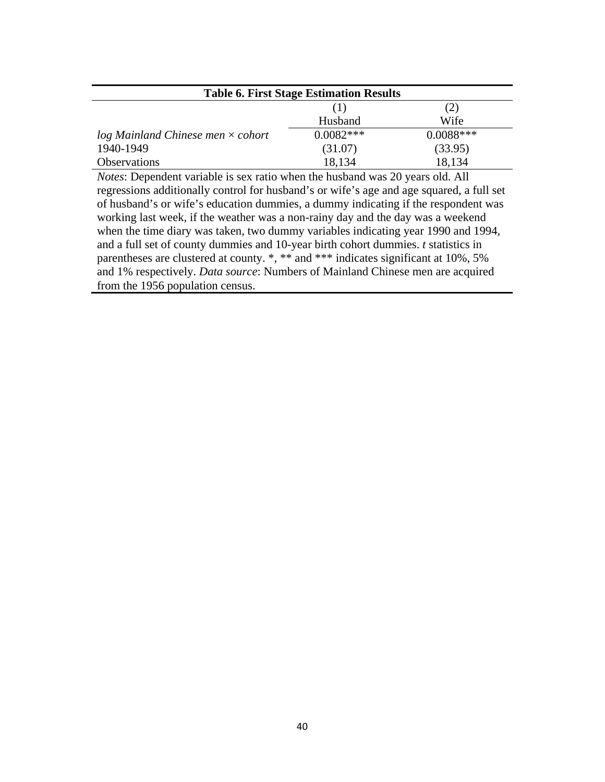| <b>Table 6. First Stage Estimation Results</b> |             |             |  |
|------------------------------------------------|-------------|-------------|--|
|                                                |             | (2)         |  |
|                                                | Husband     | Wife        |  |
| $log$ Mainland Chinese men $\times$ cohort     | $0.0082***$ | $0.0088***$ |  |
| 1940-1949                                      | (31.07)     | (33.95)     |  |
| <b>Observations</b>                            | 18,134      | 18,134      |  |

*Notes*: Dependent variable is sex ratio when the husband was 20 years old. All regressions additionally control for husband's or wife's age and age squared, a full set of husband's or wife's education dummies, a dummy indicating if the respondent was working last week, if the weather was a non-rainy day and the day was a weekend when the time diary was taken, two dummy variables indicating year 1990 and 1994, and a full set of county dummies and 10-year birth cohort dummies. *t* statistics in parentheses are clustered at county. \*, \*\* and \*\*\* indicates significant at 10%, 5% and 1% respectively. *Data source*: Numbers of Mainland Chinese men are acquired from the 1956 population census.